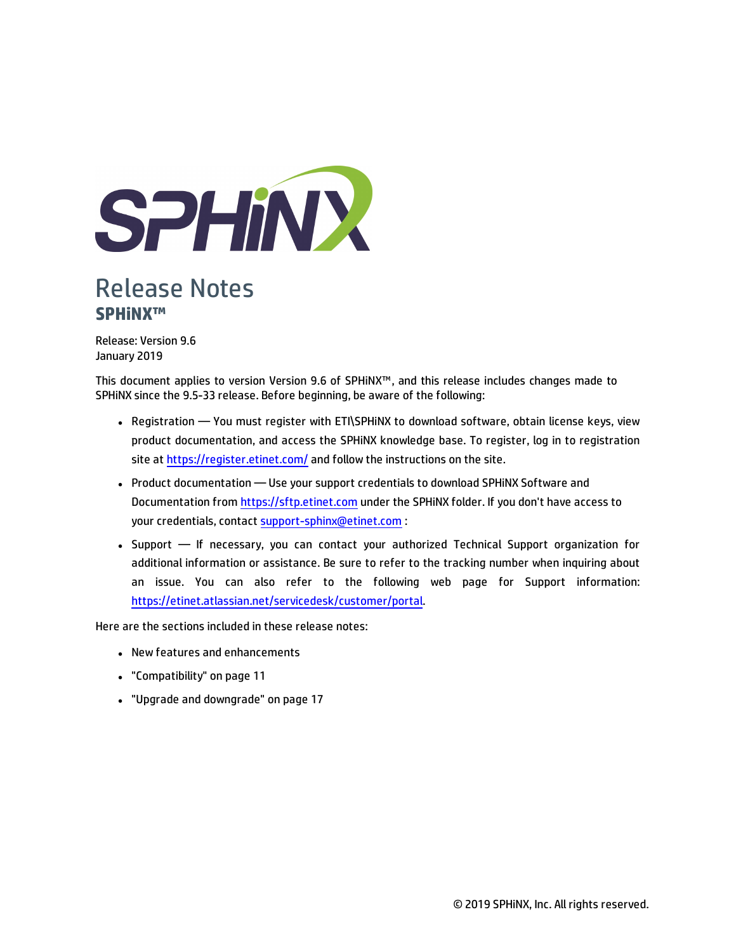

# Release Notes **SPHiNX™**

Release: Version 9.6 January 2019

This document applies to version Version 9.6 of SPHiNX™, and this release includes changes made to SPHiNX since the 9.5-33 release. Before beginning, be aware of the following:

- Registration You must register with ETI\SPHINX to download software, obtain license keys, view product documentation, and access the SPHiNX knowledge base. To register, log in to registration site at <https://register.etinet.com/> and follow the instructions on the site.
- Product documentation Use your support credentials to download SPHiNX Software and Documentation from [https://sftp.etinet.com](https://sftp.etinet.com/) under the SPHiNX folder. If you don't have access to your credentials, contact [support-sphinx@etinet.com](mailto:support-sphinx@etinet.com) :
- Support If necessary, you can contact your authorized Technical Support organization for additional information or assistance. Be sure to refer to the tracking number when inquiring about an issue. You can also refer to the following web page for Support information: [https://etinet.atlassian.net/servicedesk/customer/portal.](https://etinet.atlassian.net/servicedesk/customer/portal)

Here are the sections included in these release notes:

- New features and enhancements
- <sup>l</sup> ["Compatibility" on page 11](#page-10-0)
- ["Upgrade and downgrade" on page 17](#page-16-0)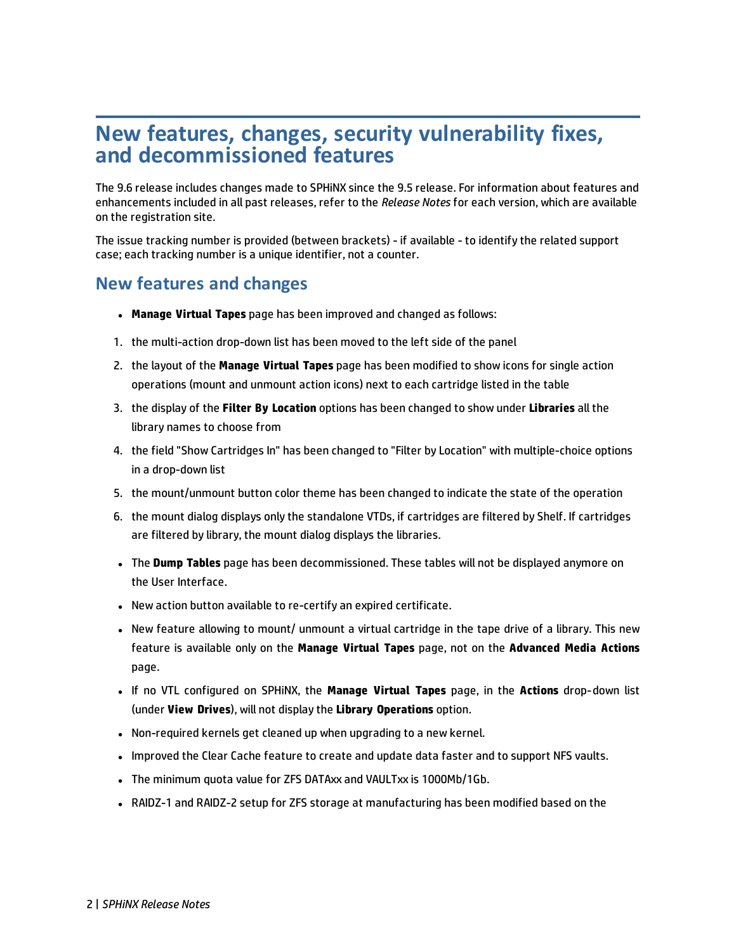# **New features, changes, security vulnerability fixes, and decommissioned features**

The 9.6 release includes changes made to SPHiNX since the 9.5 release. For information about features and enhancements included in all past releases, refer to the *Release Notes* for each version, which are available on the registration site.

The issue tracking number is provided (between brackets) - if available - to identify the related support case; each tracking number is a unique identifier, not a counter.

### **New features and changes**

- **. Manage Virtual Tapes** page has been improved and changed as follows:
- 1. the multi-action drop-down list has been moved to the left side of the panel
- 2. the layout of the **Manage Virtual Tapes** page has been modified to show icons for single action operations (mount and unmount action icons) next to each cartridge listed in the table
- 3. the display of the **Filter By Location** options has been changed to show under **Libraries** all the library names to choose from
- 4. the field "Show Cartridges In" has been changed to "Filter by Location" with multiple-choice options in a drop-down list
- 5. the mount/unmount button color theme has been changed to indicate the state of the operation
- 6. the mount dialog displays only the standalone VTDs, if cartridges are filtered by Shelf. If cartridges are filtered by library, the mount dialog displays the libraries.
- <sup>l</sup> The **Dump Tables** page has been decommissioned. These tables will not be displayed anymore on the User Interface.
- New action button available to re-certify an expired certificate.
- New feature allowing to mount/ unmount a virtual cartridge in the tape drive of a library. This new feature is available only on the **Manage Virtual Tapes** page, not on the **Advanced Media Actions** page.
- <sup>l</sup> If no VTL configured on SPHiNX, the **Manage Virtual Tapes** page, in the **Actions** drop-down list (under **View Drives**), will not display the **Library Operations** option.
- Non-required kernels get cleaned up when upgrading to a new kernel.
- Improved the Clear Cache feature to create and update data faster and to support NFS vaults.
- The minimum quota value for ZFS DATAxx and VAULTxx is 1000Mb/1Gb.
- RAIDZ-1 and RAIDZ-2 setup for ZFS storage at manufacturing has been modified based on the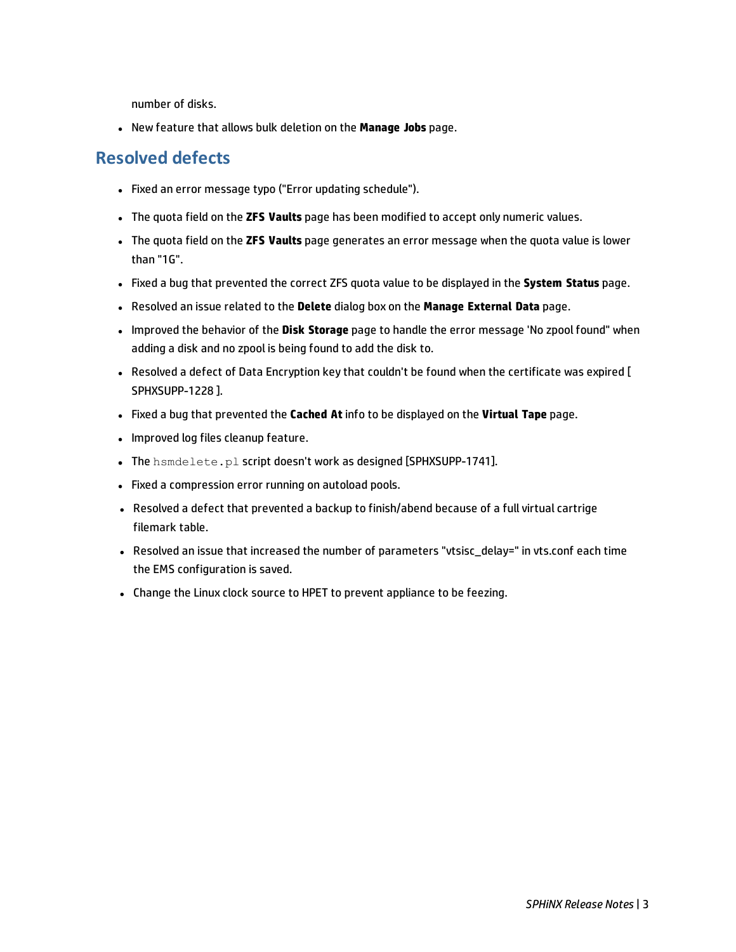number of disks.

**.** New feature that allows bulk deletion on the **Manage Jobs** page.

### **Resolved defects**

- Fixed an error message typo ("Error updating schedule").
- <sup>l</sup> The quota field on the **ZFS Vaults** page has been modified to accept only numeric values.
- <sup>l</sup> The quota field on the **ZFS Vaults** page generates an error message when the quota value is lower than "1G".
- <sup>l</sup> Fixed a bug that prevented the correct ZFS quota value to be displayed in the **System Status** page.
- <sup>l</sup> Resolved an issue related to the **Delete** dialog box on the **Manage External Data** page.
- <sup>l</sup> Improved the behavior of the **Disk Storage** page to handle the error message 'No zpool found" when adding a disk and no zpool is being found to add the disk to.
- Resolved a defect of Data Encryption key that couldn't be found when the certificate was expired [ SPHXSUPP-1228 ].
- <sup>l</sup> Fixed a bug that prevented the **Cached At** info to be displayed on the **Virtual Tape** page.
- Improved log files cleanup feature.
- . The hsmdelete.pl script doesn't work as designed [SPHXSUPP-1741].
- Fixed a compression error running on autoload pools.
- Resolved a defect that prevented a backup to finish/abend because of a full virtual cartrige filemark table.
- Resolved an issue that increased the number of parameters "vtsisc\_delay=" in vts.conf each time the EMS configuration is saved.
- Change the Linux clock source to HPET to prevent appliance to be feezing.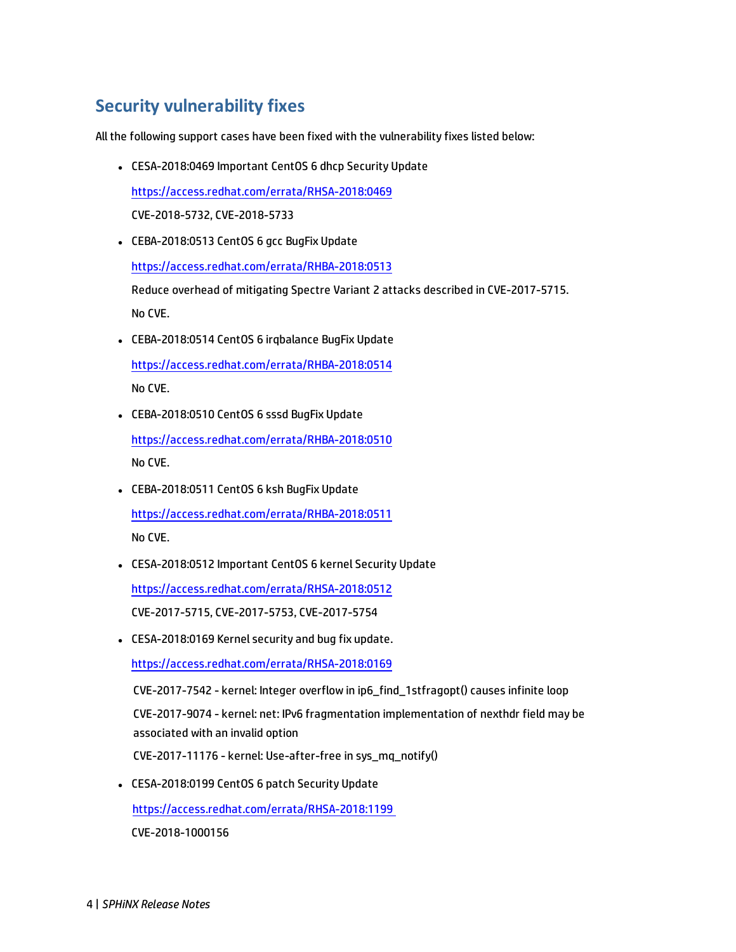# **Security vulnerability fixes**

All the following support cases have been fixed with the vulnerability fixes listed below:

- CESA-2018:0469 Important CentOS 6 dhcp Security Update <https://access.redhat.com/errata/RHSA-2018:0469> CVE-2018-5732, CVE-2018-5733
- CEBA-2018:0513 CentOS 6 gcc BugFix Update <https://access.redhat.com/errata/RHBA-2018:0513> Reduce overhead of mitigating Spectre Variant 2 attacks described in CVE-2017-5715. No CVE.
- CEBA-2018:0514 CentOS 6 irgbalance BugFix Update <https://access.redhat.com/errata/RHBA-2018:0514>

No CVE.

• CEBA-2018:0510 CentOS 6 sssd BugFix Update

<https://access.redhat.com/errata/RHBA-2018:0510> No CVE.

- CEBA-2018:0511 CentOS 6 ksh BugFix Update <https://access.redhat.com/errata/RHBA-2018:0511> No CVE.
- CESA-2018:0512 Important CentOS 6 kernel Security Update

<https://access.redhat.com/errata/RHSA-2018:0512>

CVE-2017-5715, CVE-2017-5753, CVE-2017-5754

• CESA-2018:0169 Kernel security and bug fix update.

<https://access.redhat.com/errata/RHSA-2018:0169>

CVE-2017-7542 - kernel: Integer overflow in ip6\_find\_1stfragopt() causes infinite loop CVE-2017-9074 - kernel: net: IPv6 fragmentation implementation of nexthdr field may be associated with an invalid option

CVE-2017-11176 - kernel: Use-after-free in sys\_mq\_notify()

• CESA-2018:0199 CentOS 6 patch Security Update

<https://access.redhat.com/errata/RHSA-2018:1199>

CVE-2018-1000156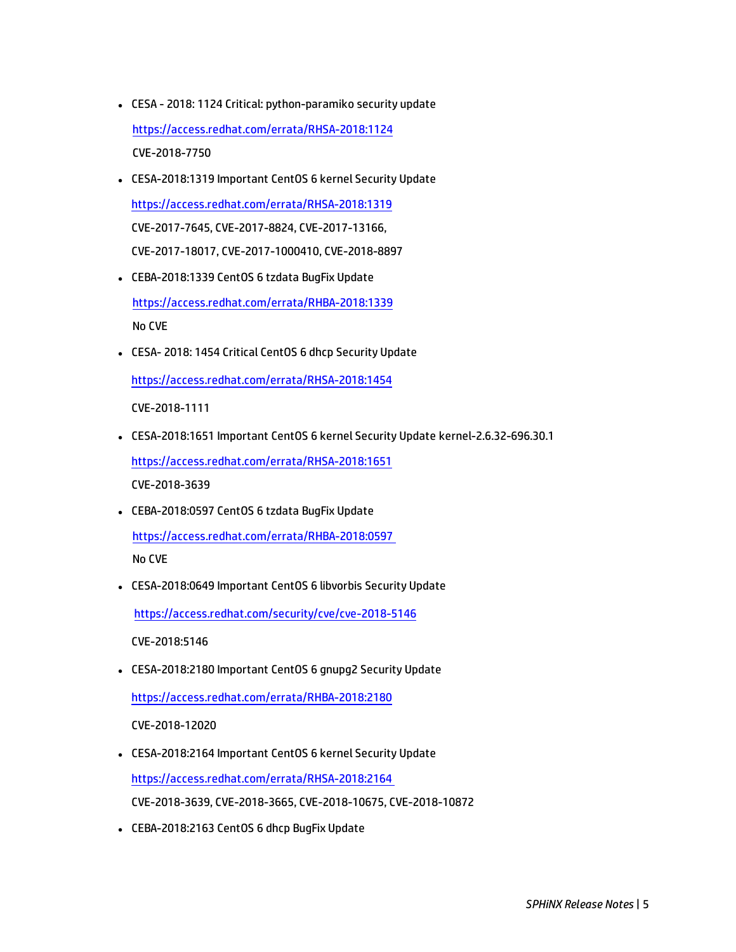- CESA 2018: 1124 Critical: python-paramiko security update <https://access.redhat.com/errata/RHSA-2018:1124> CVE-2018-7750
- CESA-2018:1319 Important CentOS 6 kernel Security Update <https://access.redhat.com/errata/RHSA-2018:1319> CVE-2017-7645, CVE-2017-8824, CVE-2017-13166, CVE-2017-18017, CVE-2017-1000410, CVE-2018-8897
- CEBA-2018:1339 CentOS 6 tzdata BugFix Update <https://access.redhat.com/errata/RHBA-2018:1339> No CVE
- CESA- 2018: 1454 Critical CentOS 6 dhcp Security Update

<https://access.redhat.com/errata/RHSA-2018:1454>

CVE-2018-1111

- <sup>l</sup> CESA-2018:1651 Important CentOS 6 kernel Security Update kernel-2.6.32-696.30.1 <https://access.redhat.com/errata/RHSA-2018:1651> CVE-2018-3639
- CEBA-2018:0597 CentOS 6 tzdata BugFix Update <https://access.redhat.com/errata/RHBA-2018:0597> No CVE
- CESA-2018:0649 Important CentOS 6 libvorbis Security Update

<https://access.redhat.com/security/cve/cve-2018-5146>

CVE-2018:5146

• CESA-2018:2180 Important CentOS 6 gnupg2 Security Update

<https://access.redhat.com/errata/RHBA-2018:2180>

CVE-2018-12020

- CESA-2018:2164 Important CentOS 6 kernel Security Update <https://access.redhat.com/errata/RHSA-2018:2164> CVE-2018-3639, CVE-2018-3665, CVE-2018-10675, CVE-2018-10872
- CEBA-2018:2163 CentOS 6 dhcp BugFix Update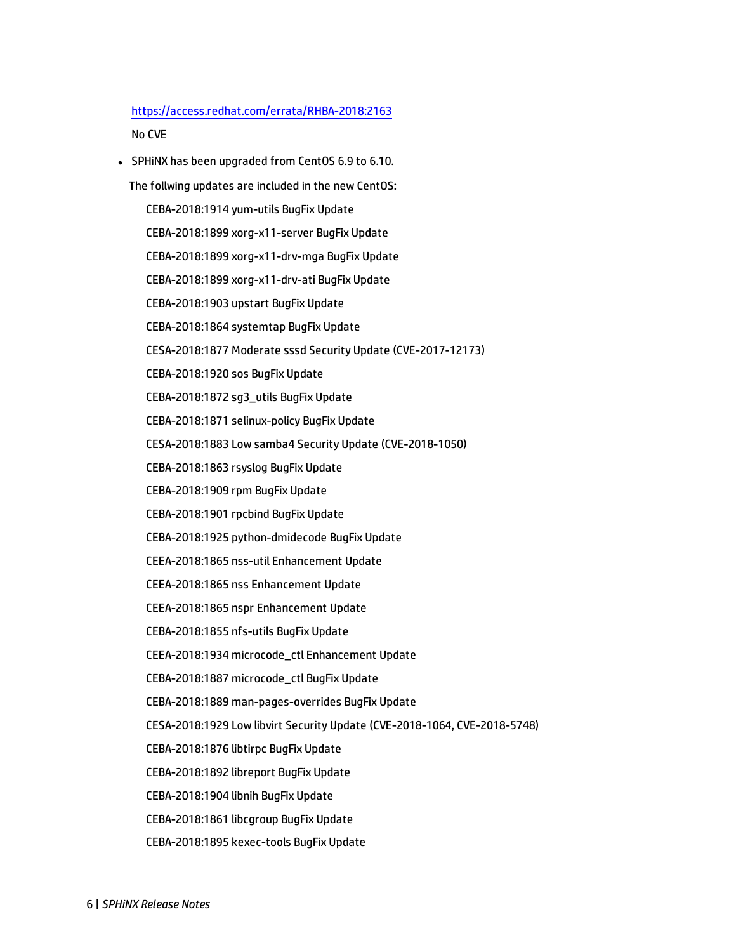#### <https://access.redhat.com/errata/RHBA-2018:2163> No CVE

• SPHINX has been upgraded from CentOS 6.9 to 6.10.

The follwing updates are included in the new CentOS:

CEBA-2018:1914 yum-utils BugFix Update

CEBA-2018:1899 xorg-x11-server BugFix Update

CEBA-2018:1899 xorg-x11-drv-mga BugFix Update

CEBA-2018:1899 xorg-x11-drv-ati BugFix Update

CEBA-2018:1903 upstart BugFix Update

CEBA-2018:1864 systemtap BugFix Update

CESA-2018:1877 Moderate sssd Security Update (CVE-2017-12173)

CEBA-2018:1920 sos BugFix Update

CEBA-2018:1872 sg3\_utils BugFix Update

CEBA-2018:1871 selinux-policy BugFix Update

CESA-2018:1883 Low samba4 Security Update (CVE-2018-1050)

CEBA-2018:1863 rsyslog BugFix Update

CEBA-2018:1909 rpm BugFix Update

CEBA-2018:1901 rpcbind BugFix Update

CEBA-2018:1925 python-dmidecode BugFix Update

CEEA-2018:1865 nss-util Enhancement Update

CEEA-2018:1865 nss Enhancement Update

CEEA-2018:1865 nspr Enhancement Update

CEBA-2018:1855 nfs-utils BugFix Update

CEEA-2018:1934 microcode\_ctl Enhancement Update

CEBA-2018:1887 microcode\_ctl BugFix Update

CEBA-2018:1889 man-pages-overrides BugFix Update

CESA-2018:1929 Low libvirt Security Update (CVE-2018-1064, CVE-2018-5748)

CEBA-2018:1876 libtirpc BugFix Update

CEBA-2018:1892 libreport BugFix Update

CEBA-2018:1904 libnih BugFix Update

CEBA-2018:1861 libcgroup BugFix Update

CEBA-2018:1895 kexec-tools BugFix Update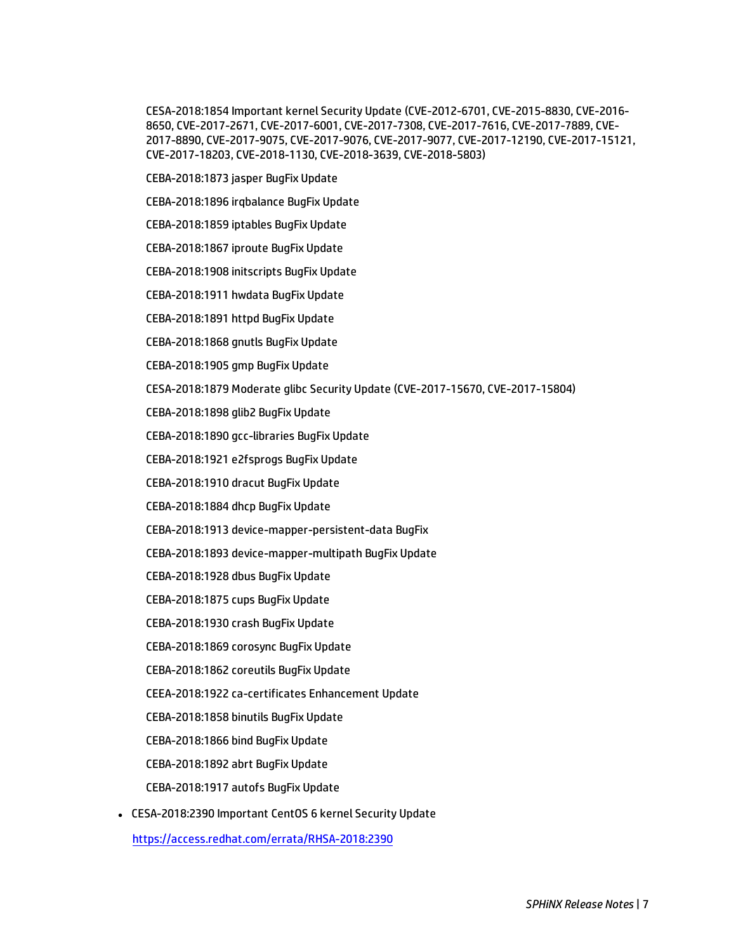CESA-2018:1854 Important kernel Security Update (CVE-2012-6701, CVE-2015-8830, CVE-2016- 8650, CVE-2017-2671, CVE-2017-6001, CVE-2017-7308, CVE-2017-7616, CVE-2017-7889, CVE-2017-8890, CVE-2017-9075, CVE-2017-9076, CVE-2017-9077, CVE-2017-12190, CVE-2017-15121, CVE-2017-18203, CVE-2018-1130, CVE-2018-3639, CVE-2018-5803)

- CEBA-2018:1873 jasper BugFix Update
- CEBA-2018:1896 irqbalance BugFix Update
- CEBA-2018:1859 iptables BugFix Update
- CEBA-2018:1867 iproute BugFix Update
- CEBA-2018:1908 initscripts BugFix Update
- CEBA-2018:1911 hwdata BugFix Update
- CEBA-2018:1891 httpd BugFix Update
- CEBA-2018:1868 gnutls BugFix Update
- CEBA-2018:1905 gmp BugFix Update
- CESA-2018:1879 Moderate glibc Security Update (CVE-2017-15670, CVE-2017-15804)
- CEBA-2018:1898 glib2 BugFix Update
- CEBA-2018:1890 gcc-libraries BugFix Update
- CEBA-2018:1921 e2fsprogs BugFix Update
- CEBA-2018:1910 dracut BugFix Update
- CEBA-2018:1884 dhcp BugFix Update
- CEBA-2018:1913 device-mapper-persistent-data BugFix
- CEBA-2018:1893 device-mapper-multipath BugFix Update
- CEBA-2018:1928 dbus BugFix Update
- CEBA-2018:1875 cups BugFix Update
- CEBA-2018:1930 crash BugFix Update
- CEBA-2018:1869 corosync BugFix Update
- CEBA-2018:1862 coreutils BugFix Update
- CEEA-2018:1922 ca-certificates Enhancement Update
- CEBA-2018:1858 binutils BugFix Update
- CEBA-2018:1866 bind BugFix Update
- CEBA-2018:1892 abrt BugFix Update
- CEBA-2018:1917 autofs BugFix Update
- CESA-2018:2390 Important CentOS 6 kernel Security Update

<https://access.redhat.com/errata/RHSA-2018:2390>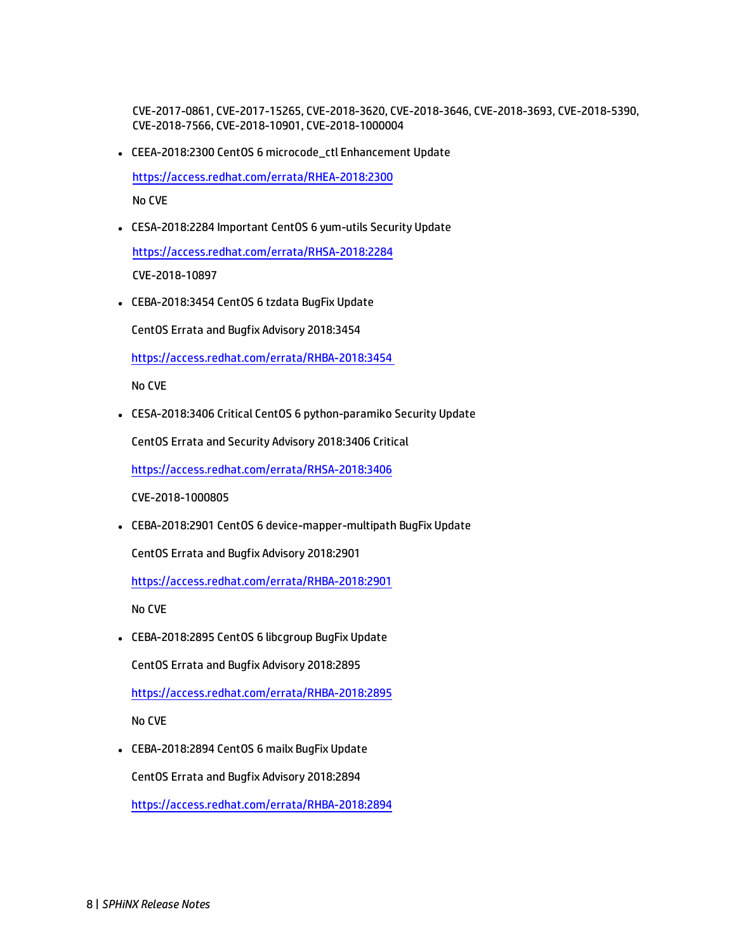CVE-2017-0861, CVE-2017-15265, CVE-2018-3620, CVE-2018-3646, CVE-2018-3693, CVE-2018-5390, CVE-2018-7566, CVE-2018-10901, CVE-2018-1000004

• CEEA-2018:2300 CentOS 6 microcode\_ctl Enhancement Update

<https://access.redhat.com/errata/RHEA-2018:2300>

No CVE

• CESA-2018:2284 Important CentOS 6 yum-utils Security Update

<https://access.redhat.com/errata/RHSA-2018:2284>

CVE-2018-10897

• CEBA-2018:3454 CentOS 6 tzdata BugFix Update

CentOS Errata and Bugfix Advisory 2018:3454

<https://access.redhat.com/errata/RHBA-2018:3454>

No CVE

• CESA-2018:3406 Critical CentOS 6 python-paramiko Security Update

CentOS Errata and Security Advisory 2018:3406 Critical

<https://access.redhat.com/errata/RHSA-2018:3406>

CVE-2018-1000805

• CEBA-2018:2901 CentOS 6 device-mapper-multipath BugFix Update

CentOS Errata and Bugfix Advisory 2018:2901

<https://access.redhat.com/errata/RHBA-2018:2901>

No CVE

• CEBA-2018:2895 CentOS 6 libcgroup BugFix Update

CentOS Errata and Bugfix Advisory 2018:2895

<https://access.redhat.com/errata/RHBA-2018:2895>

No CVE

• CEBA-2018:2894 CentOS 6 mailx BugFix Update

CentOS Errata and Bugfix Advisory 2018:2894

<https://access.redhat.com/errata/RHBA-2018:2894>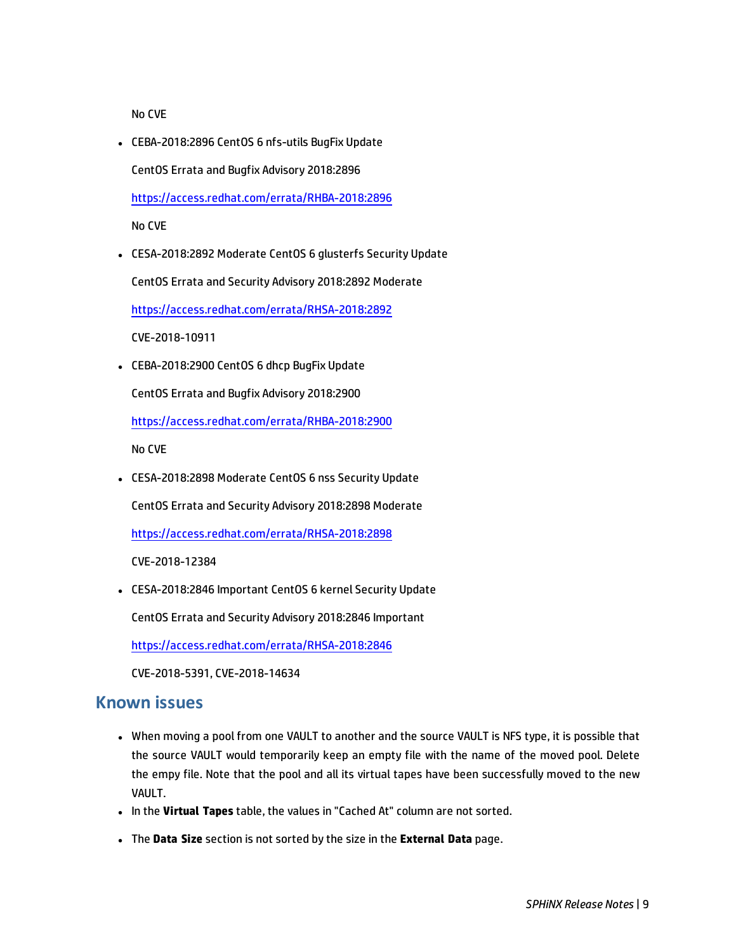No CVE

• CEBA-2018:2896 CentOS 6 nfs-utils BugFix Update CentOS Errata and Bugfix Advisory 2018:2896 <https://access.redhat.com/errata/RHBA-2018:2896>

No CVE

• CESA-2018:2892 Moderate CentOS 6 glusterfs Security Update

CentOS Errata and Security Advisory 2018:2892 Moderate

<https://access.redhat.com/errata/RHSA-2018:2892>

CVE-2018-10911

• CEBA-2018:2900 CentOS 6 dhcp BugFix Update

CentOS Errata and Bugfix Advisory 2018:2900

<https://access.redhat.com/errata/RHBA-2018:2900>

No CVE

• CESA-2018:2898 Moderate CentOS 6 nss Security Update

CentOS Errata and Security Advisory 2018:2898 Moderate

<https://access.redhat.com/errata/RHSA-2018:2898>

CVE-2018-12384

• CESA-2018:2846 Important CentOS 6 kernel Security Update

CentOS Errata and Security Advisory 2018:2846 Important

<https://access.redhat.com/errata/RHSA-2018:2846>

CVE-2018-5391, CVE-2018-14634

#### **Known issues**

- When moving a pool from one VAULT to another and the source VAULT is NFS type, it is possible that the source VAULT would temporarily keep an empty file with the name of the moved pool. Delete the empy file. Note that the pool and all its virtual tapes have been successfully moved to the new VAULT.
- **.** In the Virtual Tapes table, the values in "Cached At" column are not sorted.
- <sup>l</sup> The **Data Size** section is not sorted by the size in the **External Data** page.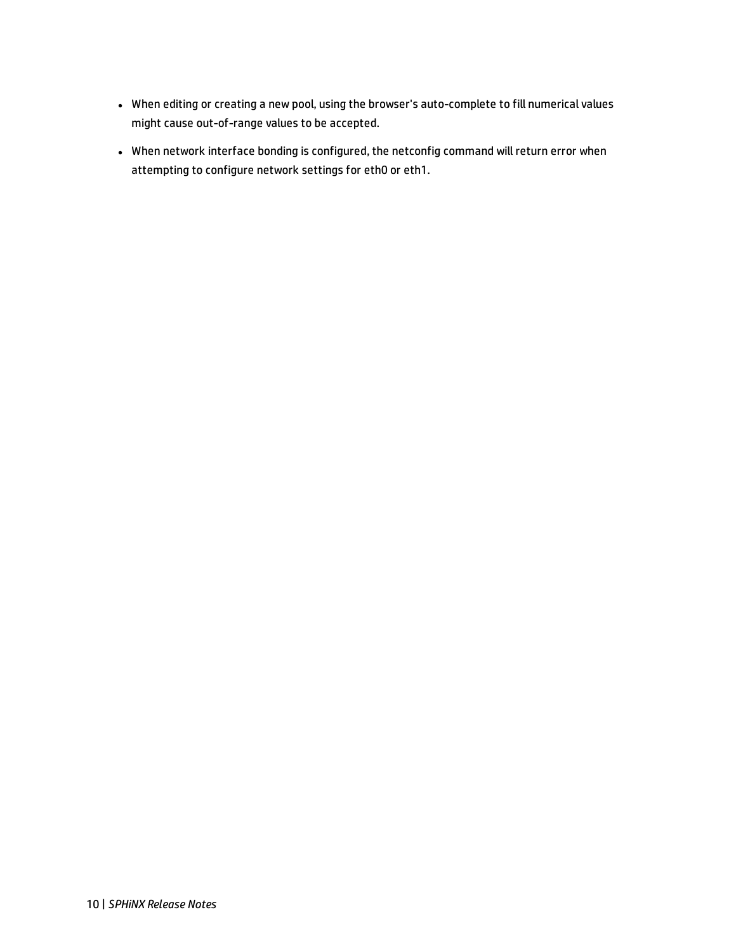- When editing or creating a new pool, using the browser's auto-complete to fill numerical values might cause out-of-range values to be accepted.
- When network interface bonding is configured, the netconfig command will return error when attempting to configure network settings for eth0 or eth1.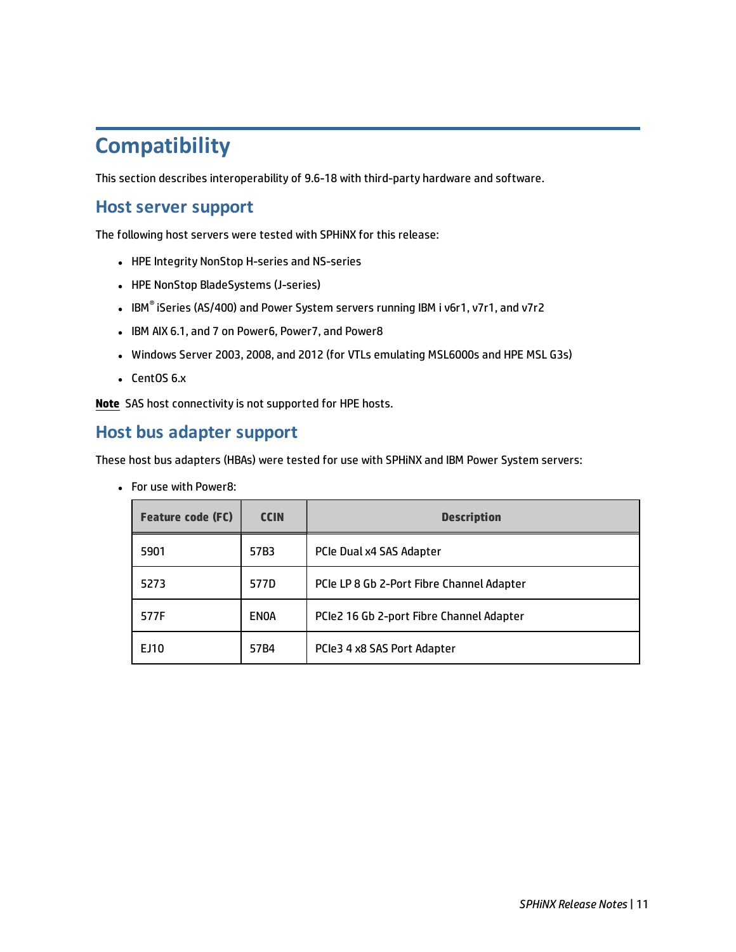# <span id="page-10-0"></span>**Compatibility**

This section describes interoperability of 9.6-18 with third-party hardware and software.

#### **Host server support**

The following host servers were tested with SPHiNX for this release:

- HPE Integrity NonStop H-series and NS-series
- HPE NonStop BladeSystems (J-series)
- IBM $\degree$  iSeries (AS/400) and Power System servers running IBM i v6r1, v7r1, and v7r2
- IBM AIX 6.1, and 7 on Power6, Power7, and Power8
- Windows Server 2003, 2008, and 2012 (for VTLs emulating MSL6000s and HPE MSL G3s)
- $\cdot$  CentOS 6.x

**Note** SAS host connectivity is not supported for HPE hosts.

#### **Host bus adapter support**

These host bus adapters (HBAs) were tested for use with SPHiNX and IBM Power System servers:

• For use with Power8:

| <b>Feature code (FC)</b> | <b>CCIN</b> | <b>Description</b>                        |
|--------------------------|-------------|-------------------------------------------|
| 5901                     | 57B3        | PCIe Dual x4 SAS Adapter                  |
| 5273                     | 577D        | PCIe LP 8 Gb 2-Port Fibre Channel Adapter |
| 577F                     | <b>ENOA</b> | PCIe2 16 Gb 2-port Fibre Channel Adapter  |
| EJ10                     | 57B4        | PCIe3 4 x8 SAS Port Adapter               |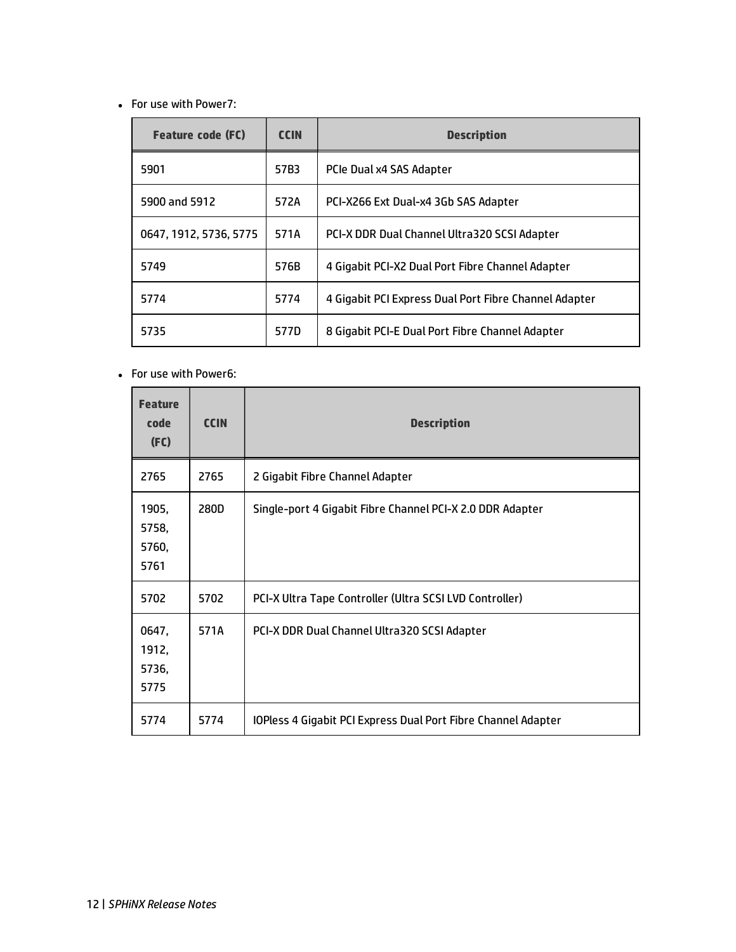• For use with Power7:

| <b>Feature code (FC)</b> | <b>CCIN</b> | <b>Description</b>                                    |
|--------------------------|-------------|-------------------------------------------------------|
| 5901                     | 57B3        | PCIe Dual x4 SAS Adapter                              |
| 5900 and 5912            | 572A        | PCI-X266 Ext Dual-x4 3Gb SAS Adapter                  |
| 0647, 1912, 5736, 5775   | 571A        | PCI-X DDR Dual Channel Ultra320 SCSI Adapter          |
| 5749                     | 576B        | 4 Gigabit PCI-X2 Dual Port Fibre Channel Adapter      |
| 5774                     | 5774        | 4 Gigabit PCI Express Dual Port Fibre Channel Adapter |
| 5735                     | 577D        | 8 Gigabit PCI-E Dual Port Fibre Channel Adapter       |

• For use with Power6:

| <b>Feature</b><br>code<br>(FC)  | <b>CCIN</b> | <b>Description</b>                                            |
|---------------------------------|-------------|---------------------------------------------------------------|
| 2765                            | 2765        | 2 Gigabit Fibre Channel Adapter                               |
| 1905,<br>5758,<br>5760,<br>5761 | 280D        | Single-port 4 Gigabit Fibre Channel PCI-X 2.0 DDR Adapter     |
| 5702                            | 5702        | PCI-X Ultra Tape Controller (Ultra SCSI LVD Controller)       |
| 0647,<br>1912,<br>5736,<br>5775 | 571A        | PCI-X DDR Dual Channel Ultra320 SCSI Adapter                  |
| 5774                            | 5774        | IOPless 4 Gigabit PCI Express Dual Port Fibre Channel Adapter |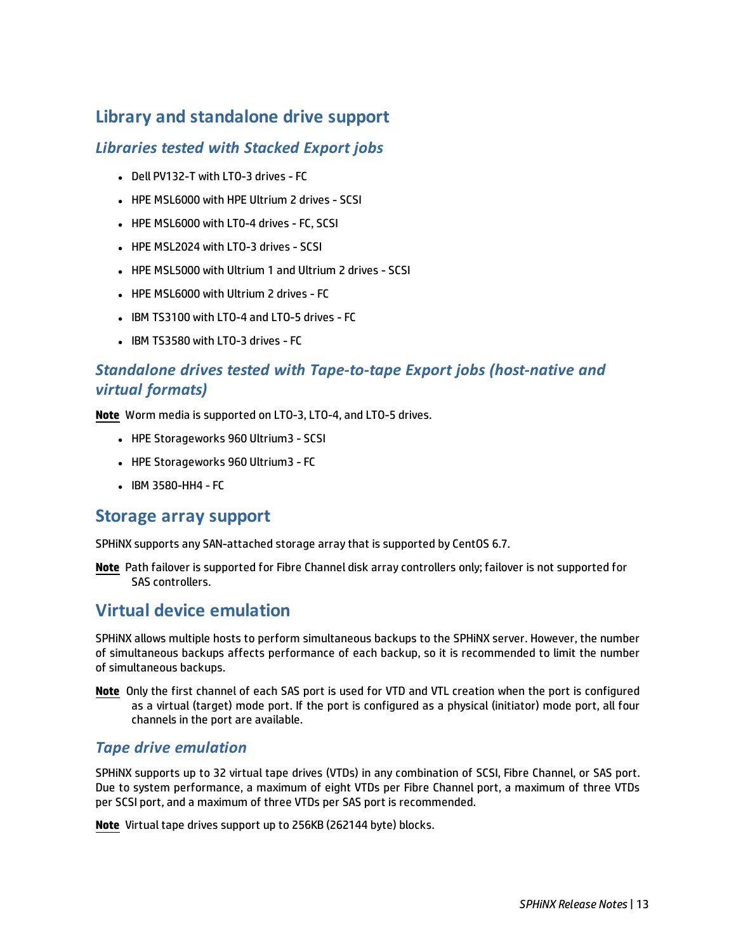# **Library and standalone drive support**

#### *Libraries tested with Stacked Export jobs*

- Dell PV132-T with LTO-3 drives FC
- HPE MSL6000 with HPE Ultrium 2 drives SCSI
- HPE MSL6000 with LT0-4 drives FC, SCSI
- HPE MSL2024 with LTO-3 drives SCSI
- HPE MSL5000 with Ultrium 1 and Ultrium 2 drives SCSI
- HPE MSL6000 with Ultrium 2 drives FC
- IBM TS3100 with LTO-4 and LTO-5 drives FC
- $\blacksquare$  IBM TS3580 with LTO-3 drives FC

### *Standalone drives tested with Tape-to-tape Export jobs (host-native and virtual formats)*

**Note** Worm media is supported on LTO-3, LTO-4, and LTO-5 drives.

- HPE Storageworks 960 Ultrium3 SCSI
- HPE Storageworks 960 Ultrium3 FC
- $\bullet$  IBM 3580-HH4 FC

#### **Storage array support**

SPHiNX supports any SAN-attached storage array that is supported by CentOS 6.7.

**Note** Path failover is supported for Fibre Channel disk array controllers only; failover is not supported for SAS controllers.

### **Virtual device emulation**

SPHiNX allows multiple hosts to perform simultaneous backups to the SPHiNX server. However, the number of simultaneous backups affects performance of each backup, so it is recommended to limit the number of simultaneous backups.

**Note** Only the first channel of each SAS port is used for VTD and VTL creation when the port is configured as a virtual (target) mode port. If the port is configured as a physical (initiator) mode port, all four channels in the port are available.

#### *Tape drive emulation*

SPHiNX supports up to 32 virtual tape drives (VTDs) in any combination of SCSI, Fibre Channel, or SAS port. Due to system performance, a maximum of eight VTDs per Fibre Channel port, a maximum of three VTDs per SCSI port, and a maximum of three VTDs per SAS port is recommended.

**Note** Virtual tape drives support up to 256KB (262144 byte) blocks.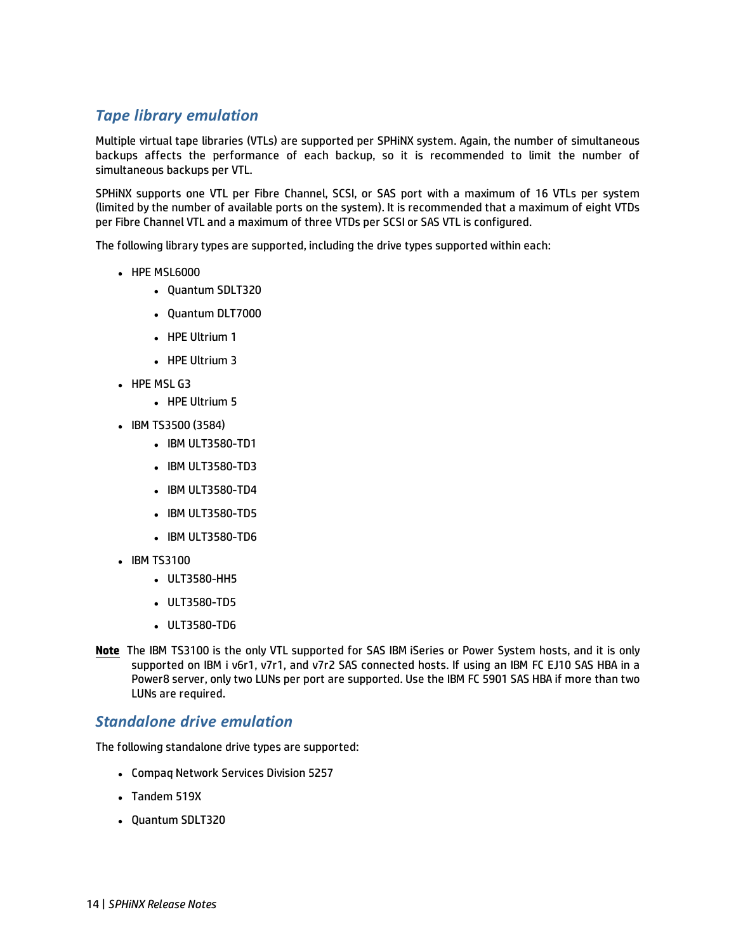#### *Tape library emulation*

Multiple virtual tape libraries (VTLs) are supported per SPHiNX system. Again, the number of simultaneous backups affects the performance of each backup, so it is recommended to limit the number of simultaneous backups per VTL.

SPHiNX supports one VTL per Fibre Channel, SCSI, or SAS port with a maximum of 16 VTLs per system (limited by the number of available ports on the system). It is recommended that a maximum of eight VTDs per Fibre Channel VTL and a maximum of three VTDs per SCSI or SAS VTL is configured.

The following library types are supported, including the drive types supported within each:

- HPE MSL6000
	- Quantum SDLT320
	- Quantum DLT7000
	- HPE Ultrium 1
	- $\cdot$  HPE Ultrium 3
- $\cdot$  HPE MSL G3
	- HPE Ultrium 5
- <sup>l</sup> IBM TS3500 (3584)
	- IBM ULT3580-TD1
	- IBM ULT3580-TD3
	- IBM ULT3580-TD4
	- IBM ULT3580-TD5
	- IBM ULT3580-TD6
- IBM TS3100
	- ULT3580-HH5
	- ULT3580-TD5
	- ULT3580-TD6
- **Note** The IBM TS3100 is the only VTL supported for SAS IBM iSeries or Power System hosts, and it is only supported on IBM i v6r1, v7r1, and v7r2 SAS connected hosts. If using an IBM FC EJ10 SAS HBA in a Power8 server, only two LUNs per port are supported. Use the IBM FC 5901 SAS HBA if more than two LUNs are required.

#### *Standalone drive emulation*

The following standalone drive types are supported:

- Compaq Network Services Division 5257
- Tandem 519X
- Quantum SDLT320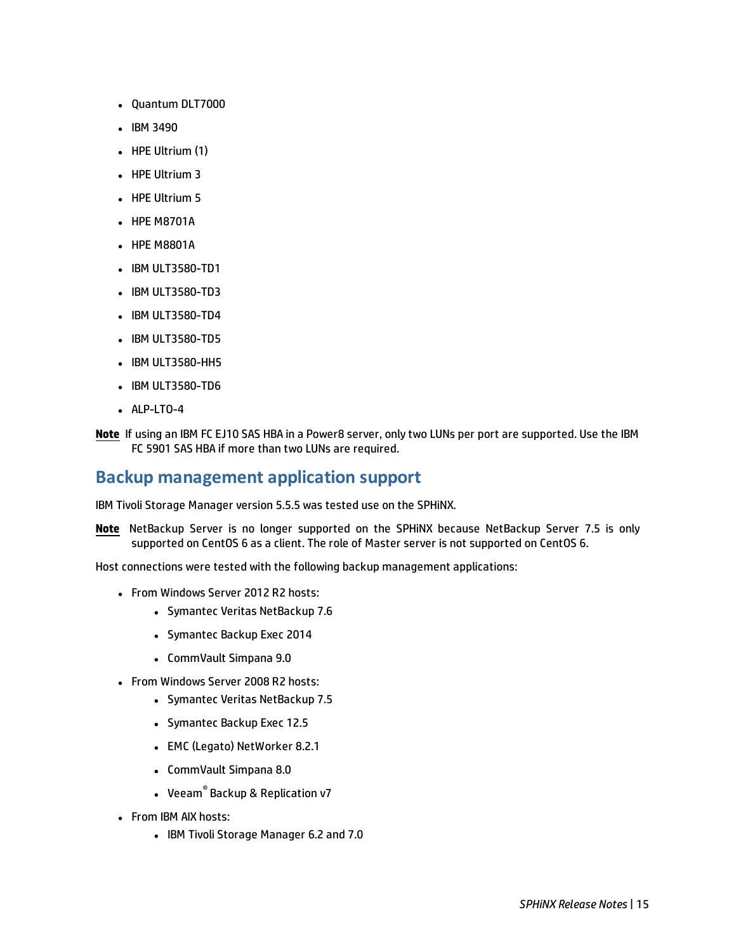- Quantum DLT7000
- $\cdot$  IBM 3490
- $\bullet$  HPE Ultrium (1)
- $\cdot$  HPE Ultrium 3
- HPE Ultrium 5
- HPE M8701A
- HPE M8801A
- IBM ULT3580-TD1
- IBM ULT3580-TD3
- IBM ULT3580-TD4
- IBM ULT3580-TD5
- IBM ULT3580-HH5
- IBM ULT3580-TD6
- $\bullet$  ALP-LTO-4
- **Note** If using an IBM FC EJ10 SAS HBA in a Power8 server, only two LUNs per port are supported. Use the IBM FC 5901 SAS HBA if more than two LUNs are required.

#### **Backup management application support**

IBM Tivoli Storage Manager version 5.5.5 was tested use on the SPHiNX.

**Note** NetBackup Server is no longer supported on the SPHiNX because NetBackup Server 7.5 is only supported on CentOS 6 as a client. The role of Master server is not supported on CentOS 6.

Host connections were tested with the following backup management applications:

- From Windows Server 2012 R2 hosts:
	- Symantec Veritas NetBackup 7.6
	- Symantec Backup Exec 2014
	- CommVault Simpana 9.0
- From Windows Server 2008 R2 hosts:
	- Symantec Veritas NetBackup 7.5
	- Symantec Backup Exec 12.5
	- EMC (Legato) NetWorker 8.2.1
	- CommVault Simpana 8.0
	- Veeam<sup>®</sup> Backup & Replication v7
- From IBM AIX hosts:
	- <sup>l</sup> IBM Tivoli Storage Manager 6.2 and 7.0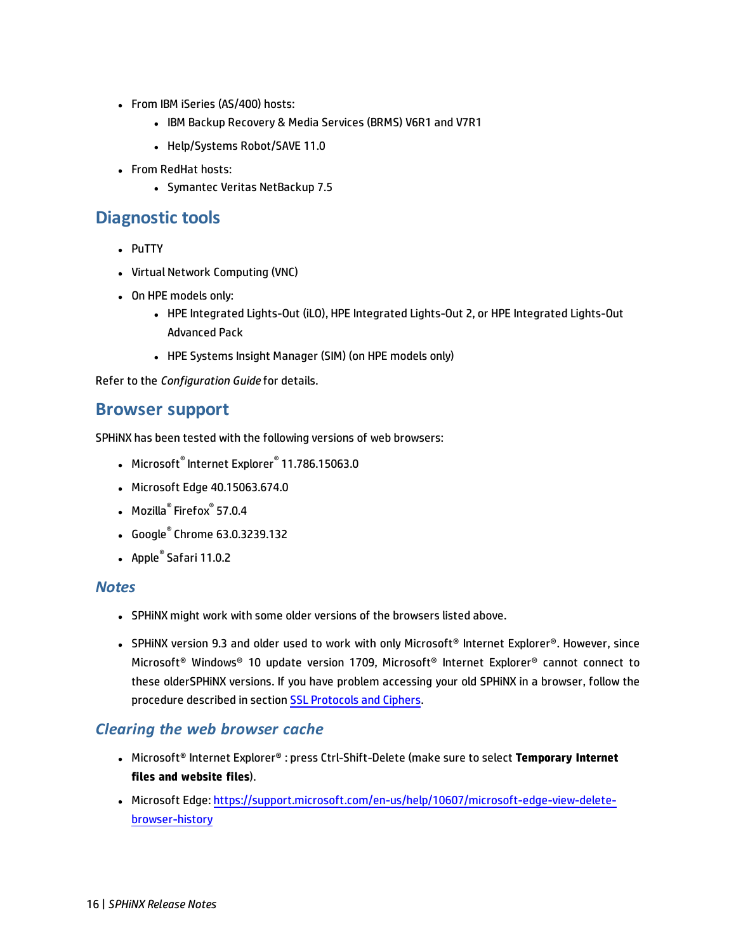- From IBM iSeries (AS/400) hosts:
	- IBM Backup Recovery & Media Services (BRMS) V6R1 and V7R1
	- Help/Systems Robot/SAVE 11.0
- From RedHat hosts:
	- Symantec Veritas NetBackup 7.5

### **Diagnostic tools**

- PuTTY
- Virtual Network Computing (VNC)
- On HPE models only:
	- HPE Integrated Lights-Out (iLO), HPE Integrated Lights-Out 2, or HPE Integrated Lights-Out Advanced Pack
	- HPE Systems Insight Manager (SIM) (on HPE models only)

Refer to the *Configuration Guide* for details.

#### **Browser support**

SPHiNX has been tested with the following versions of web browsers:

- <sup>l</sup> Microsoft® Internet Explorer® 11.786.15063.0
- Microsoft Edge 40.15063.674.0
- Mozilla<sup>®</sup> Firefox<sup>®</sup> 57.0.4
- <sup>l</sup> Google® Chrome 63.0.3239.132
- $\bullet$  Apple $^\circ$  Safari 11.0.2

#### *Notes*

- SPHINX might work with some older versions of the browsers listed above.
- <sup>l</sup> SPHiNX version 9.3 and older used to work with only Microsoft® Internet Explorer®. However, since Microsoft® Windows® 10 update version 1709, Microsoft® Internet Explorer® cannot connect to these olderSPHiNX versions. If you have problem accessing your old SPHiNX in a browser, follow the procedure described in section SSL [Protocols](#page-16-1) and Ciphers.

#### <span id="page-15-0"></span>*Clearing the web browser cache*

- <sup>l</sup> Microsoft® Internet Explorer® : press Ctrl-Shift-Delete (make sure to select **Temporary Internet files and website files**).
- Microsoft Edge: [https://support.microsoft.com/en-us/help/10607/microsoft-edge-view-delete](https://support.microsoft.com/en-us/help/10607/microsoft-edge-view-delete-browser-history)[browser-history](https://support.microsoft.com/en-us/help/10607/microsoft-edge-view-delete-browser-history)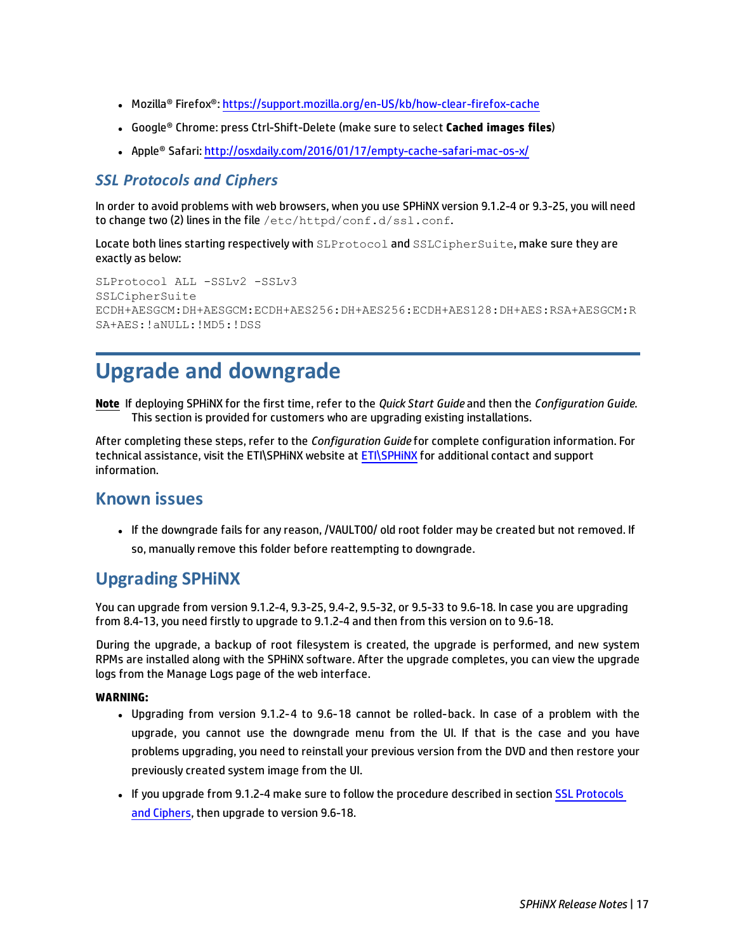- Mozilla® Firefox®: <https://support.mozilla.org/en-US/kb/how-clear-firefox-cache>
- <sup>l</sup> Google® Chrome: press Ctrl-Shift-Delete (make sure to select **Cached images files**)
- Apple® Safari: <http://osxdaily.com/2016/01/17/empty-cache-safari-mac-os-x/>

#### <span id="page-16-1"></span>*SSL Protocols and Ciphers*

In order to avoid problems with web browsers, when you use SPHiNX version 9.1.2-4 or 9.3-25, you will need to change two (2) lines in the file /etc/httpd/conf.d/ssl.conf.

Locate both lines starting respectively with SLProtocol and SSLCipherSuite, make sure they are exactly as below:

```
SLProtocol ALL -SSLv2 -SSLv3
SSLCipherSuite
ECDH+AESGCM:DH+AESGCM:ECDH+AES256:DH+AES256:ECDH+AES128:DH+AES:RSA+AESGCM:R
SA+AES:!aNULL:!MD5:!DSS
```
# <span id="page-16-0"></span>**Upgrade and downgrade**

**Note** If deploying SPHiNX for the first time, refer to the *Quick Start Guide* and then the *Configuration Guide*. This section is provided for customers who are upgrading existing installations.

After completing these steps, refer to the *Configuration Guide* for complete configuration information. For technical assistance, visit the ETI\SPHINX website at ETI\SPHINX for additional contact and support information.

#### **Known issues**

• If the downgrade fails for any reason, /VAULT00/ old root folder may be created but not removed. If so, manually remove this folder before reattempting to downgrade.

### **Upgrading SPHiNX**

You can upgrade from version 9.1.2-4, 9.3-25, 9.4-2, 9.5-32, or 9.5-33 to 9.6-18. In case you are upgrading from 8.4-13, you need firstly to upgrade to 9.1.2-4 and then from this version on to 9.6-18.

During the upgrade, a backup of root filesystem is created, the upgrade is performed, and new system RPMs are installed along with the SPHiNX software. After the upgrade completes, you can view the upgrade logs from the Manage Logs page of the web interface.

#### **WARNING:**

- Upgrading from version 9.1.2-4 to 9.6-18 cannot be rolled-back. In case of a problem with the upgrade, you cannot use the downgrade menu from the UI. If that is the case and you have problems upgrading, you need to reinstall your previous version from the DVD and then restore your previously created system image from the UI.
- If you upgrade from 9.1.2-4 make sure to follow the procedure described in section SSL [Protocols](#page-16-1) and [Ciphers](#page-16-1), then upgrade to version 9.6-18.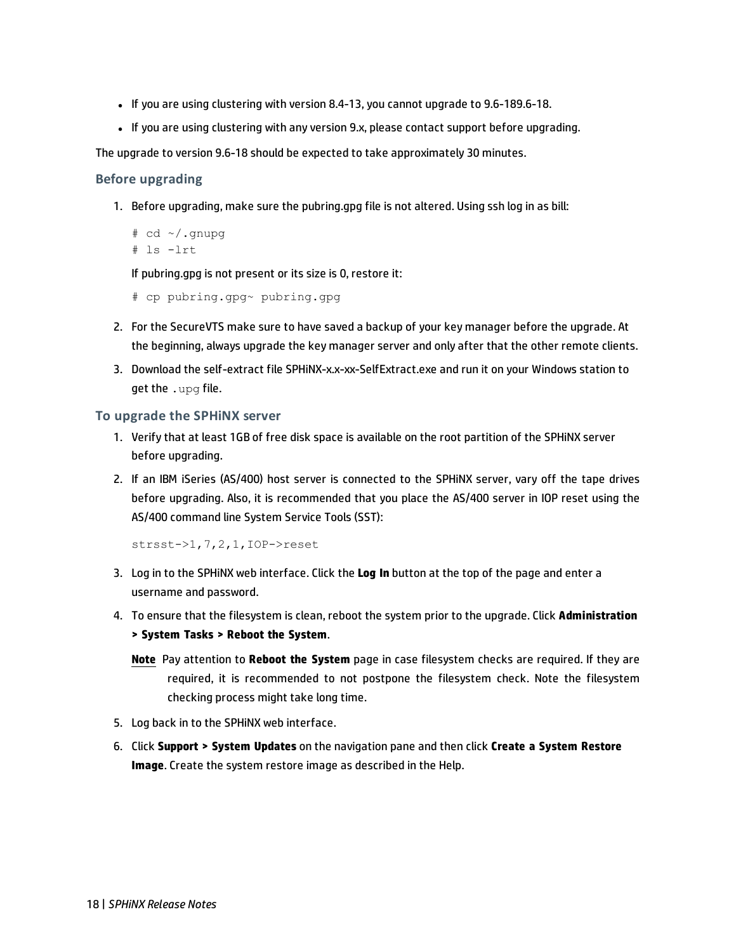- If you are using clustering with version 8.4-13, you cannot upgrade to 9.6-189.6-18.
- If you are using clustering with any version 9.x, please contact support before upgrading.

The upgrade to version 9.6-18 should be expected to take approximately 30 minutes.

#### **Before upgrading**

1. Before upgrading, make sure the pubring.gpg file is not altered. Using ssh log in as bill:

```
# cd ~ \sim / .gnupg
# ls -lrt
```
If pubring.gpg is not present or its size is 0, restore it:

```
# cp pubring.gpg~ pubring.gpg
```
- 2. For the SecureVTS make sure to have saved a backup of your key manager before the upgrade. At the beginning, always upgrade the key manager server and only after that the other remote clients.
- 3. Download the self-extract file SPHiNX-x.x-xx-SelfExtract.exe and run it on your Windows station to get the . upg file.

#### **To upgrade the SPHiNX server**

- 1. Verify that at least 1GB of free disk space is available on the root partition of the SPHiNX server before upgrading.
- 2. If an IBM iSeries (AS/400) host server is connected to the SPHiNX server, vary off the tape drives before upgrading. Also, it is recommended that you place the AS/400 server in IOP reset using the AS/400 command line System Service Tools (SST):

strsst->1,7,2,1,IOP->reset

- 3. Log in to the SPHiNX web interface. Click the **Log In** button at the top of the page and enter a username and password.
- 4. To ensure that the filesystem is clean, reboot the system prior to the upgrade. Click **Administration > System Tasks > Reboot the System**.
	- **Note** Pay attention to **Reboot the System** page in case filesystem checks are required. If they are required, it is recommended to not postpone the filesystem check. Note the filesystem checking process might take long time.
- 5. Log back in to the SPHiNX web interface.
- 6. Click **Support > System Updates** on the navigation pane and then click **Create a System Restore Image**. Create the system restore image as described in the Help.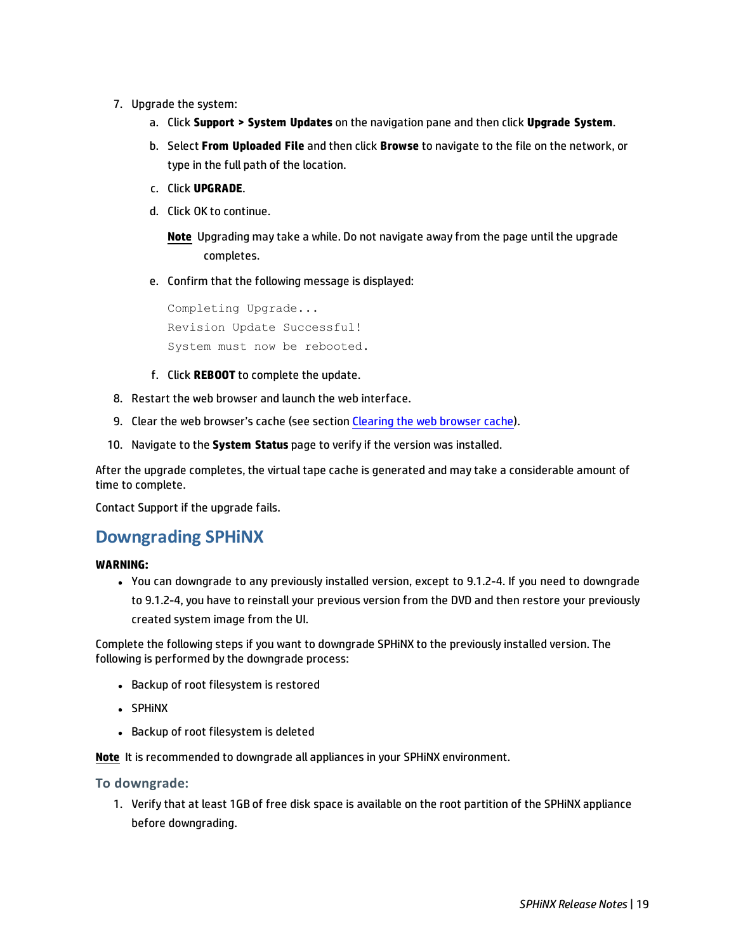- 7. Upgrade the system:
	- a. Click **Support > System Updates** on the navigation pane and then click **Upgrade System**.
	- b. Select **From Uploaded File** and then click **Browse** to navigate to the file on the network, or type in the full path of the location.
	- c. Click **UPGRADE**.
	- d. Click OK to continue.

**Note** Upgrading may take a while. Do not navigate away from the page until the upgrade completes.

e. Confirm that the following message is displayed:

Completing Upgrade... Revision Update Successful! System must now be rebooted.

- f. Click **REBOOT** to complete the update.
- 8. Restart the web browser and launch the web interface.
- 9. Clear the web browser's cache (see section [Clearing](#page-15-0) the web browser cache).
- 10. Navigate to the **System Status** page to verify if the version was installed.

After the upgrade completes, the virtual tape cache is generated and may take a considerable amount of time to complete.

Contact Support if the upgrade fails.

### **Downgrading SPHiNX**

#### **WARNING:**

• You can downgrade to any previously installed version, except to 9.1.2-4. If you need to downgrade to 9.1.2-4, you have to reinstall your previous version from the DVD and then restore your previously created system image from the UI.

Complete the following steps if you want to downgrade SPHiNX to the previously installed version. The following is performed by the downgrade process:

- Backup of root filesystem is restored
- **.** SPHINX
- Backup of root filesystem is deleted

**Note** It is recommended to downgrade all appliances in your SPHiNX environment.

#### **To downgrade:**

1. Verify that at least 1GB of free disk space is available on the root partition of the SPHiNX appliance before downgrading.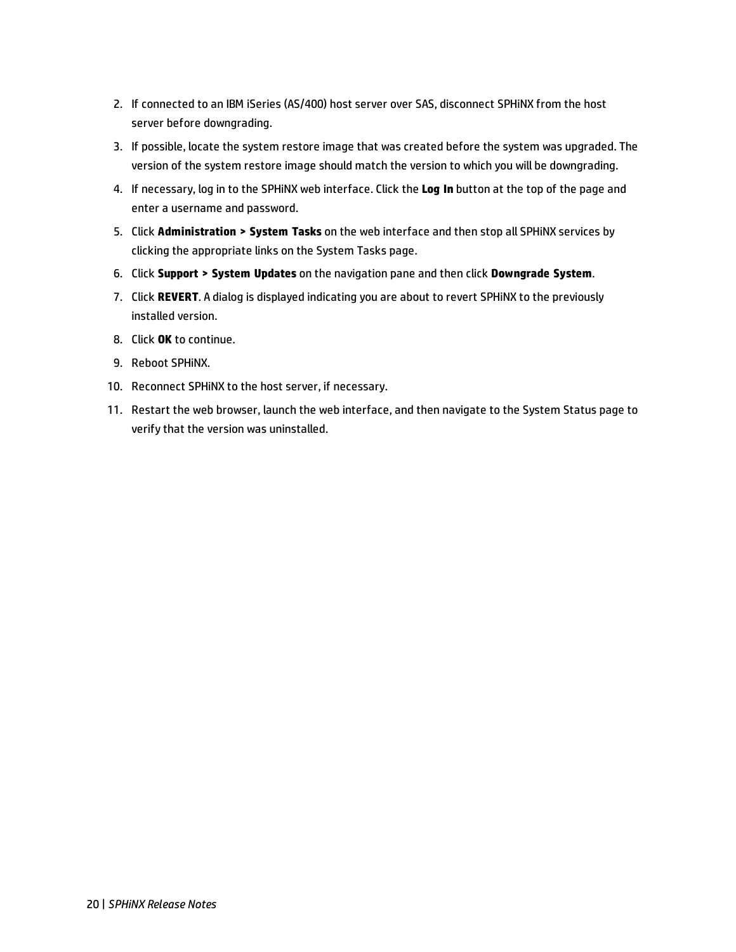- 2. If connected to an IBM iSeries (AS/400) host server over SAS, disconnect SPHiNX from the host server before downgrading.
- 3. If possible, locate the system restore image that was created before the system was upgraded. The version of the system restore image should match the version to which you will be downgrading.
- 4. If necessary, log in to the SPHiNX web interface. Click the **Log In** button at the top of the page and enter a username and password.
- 5. Click **Administration > System Tasks** on the web interface and then stop all SPHiNX services by clicking the appropriate links on the System Tasks page.
- 6. Click **Support > System Updates** on the navigation pane and then click **Downgrade System**.
- 7. Click **REVERT**. A dialog is displayed indicating you are about to revert SPHiNX to the previously installed version.
- 8. Click **OK** to continue.
- 9. Reboot SPHiNX.
- 10. Reconnect SPHiNX to the host server, if necessary.
- 11. Restart the web browser, launch the web interface, and then navigate to the System Status page to verify that the version was uninstalled.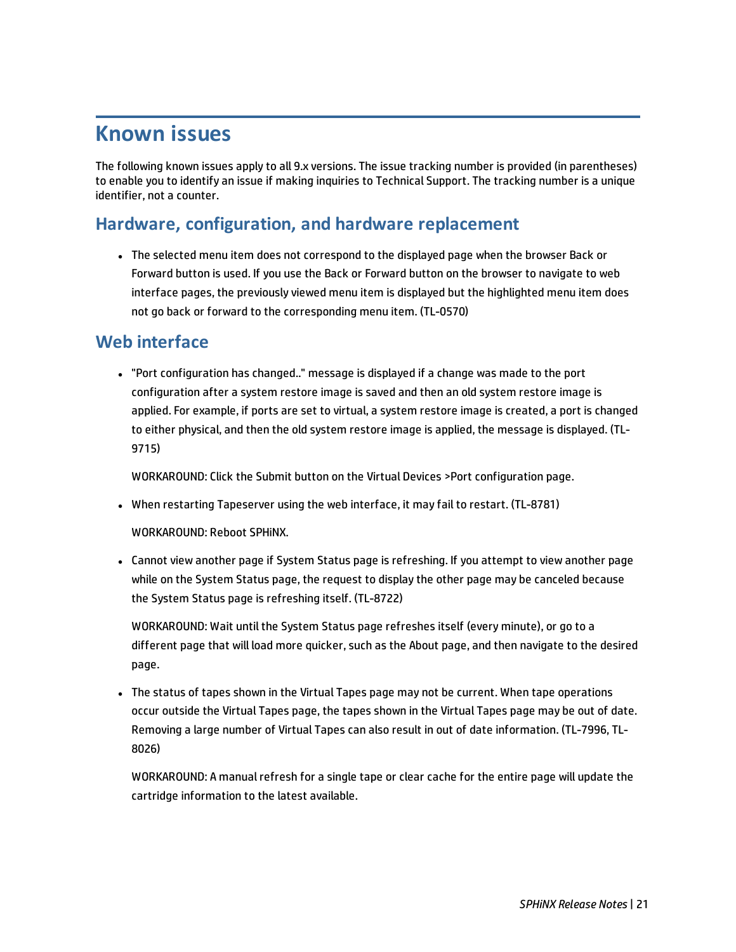# **Known issues**

The following known issues apply to all 9.x versions. The issue tracking number is provided (in parentheses) to enable you to identify an issue if making inquiries to Technical Support. The tracking number is a unique identifier, not a counter.

### **Hardware, configuration, and hardware replacement**

• The selected menu item does not correspond to the displayed page when the browser Back or Forward button is used. If you use the Back or Forward button on the browser to navigate to web interface pages, the previously viewed menu item is displayed but the highlighted menu item does not go back or forward to the corresponding menu item. (TL-0570)

### **Web interface**

<sup>l</sup> "Port configuration has changed.." message is displayed if a change was made to the port configuration after a system restore image is saved and then an old system restore image is applied. For example, if ports are set to virtual, a system restore image is created, a port is changed to either physical, and then the old system restore image is applied, the message is displayed. (TL-9715)

WORKAROUND: Click the Submit button on the Virtual Devices >Port configuration page.

• When restarting Tapeserver using the web interface, it may fail to restart. (TL-8781)

WORKAROUND: Reboot SPHiNX.

• Cannot view another page if System Status page is refreshing. If you attempt to view another page while on the System Status page, the request to display the other page may be canceled because the System Status page is refreshing itself. (TL-8722)

WORKAROUND: Wait until the System Status page refreshes itself (every minute), or go to a different page that will load more quicker, such as the About page, and then navigate to the desired page.

• The status of tapes shown in the Virtual Tapes page may not be current. When tape operations occur outside the Virtual Tapes page, the tapes shown in the Virtual Tapes page may be out of date. Removing a large number of Virtual Tapes can also result in out of date information. (TL-7996, TL-8026)

WORKAROUND: A manual refresh for a single tape or clear cache for the entire page will update the cartridge information to the latest available.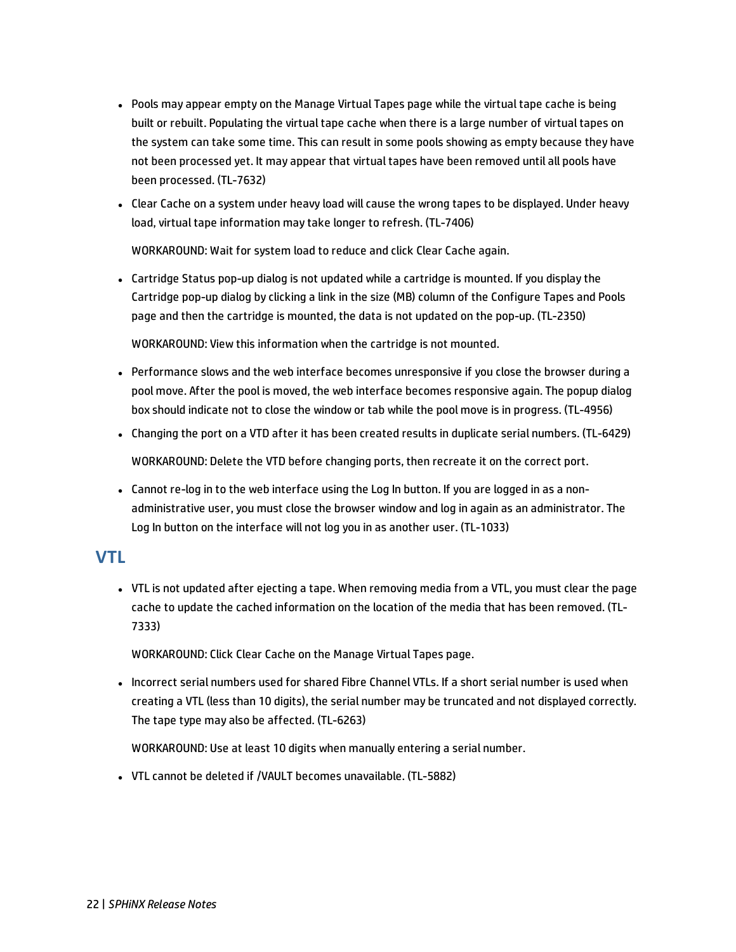- Pools may appear empty on the Manage Virtual Tapes page while the virtual tape cache is being built or rebuilt. Populating the virtual tape cache when there is a large number of virtual tapes on the system can take some time. This can result in some pools showing as empty because they have not been processed yet. It may appear that virtual tapes have been removed until all pools have been processed. (TL-7632)
- Clear Cache on a system under heavy load will cause the wrong tapes to be displayed. Under heavy load, virtual tape information may take longer to refresh. (TL-7406)

WORKAROUND: Wait for system load to reduce and click Clear Cache again.

• Cartridge Status pop-up dialog is not updated while a cartridge is mounted. If you display the Cartridge pop-up dialog by clicking a link in the size (MB) column of the Configure Tapes and Pools page and then the cartridge is mounted, the data is not updated on the pop-up. (TL-2350)

WORKAROUND: View this information when the cartridge is not mounted.

- Performance slows and the web interface becomes unresponsive if you close the browser during a pool move. After the pool is moved, the web interface becomes responsive again. The popup dialog box should indicate not to close the window or tab while the pool move is in progress. (TL-4956)
- Changing the port on a VTD after it has been created results in duplicate serial numbers. (TL-6429)

WORKAROUND: Delete the VTD before changing ports, then recreate it on the correct port.

• Cannot re-log in to the web interface using the Log In button. If you are logged in as a nonadministrative user, you must close the browser window and log in again as an administrator. The Log In button on the interface will not log you in as another user. (TL-1033)

### **VTL**

• VTL is not updated after ejecting a tape. When removing media from a VTL, you must clear the page cache to update the cached information on the location of the media that has been removed. (TL-7333)

WORKAROUND: Click Clear Cache on the Manage Virtual Tapes page.

• Incorrect serial numbers used for shared Fibre Channel VTLs. If a short serial number is used when creating a VTL (less than 10 digits), the serial number may be truncated and not displayed correctly. The tape type may also be affected. (TL-6263)

WORKAROUND: Use at least 10 digits when manually entering a serial number.

• VTL cannot be deleted if /VAULT becomes unavailable. (TL-5882)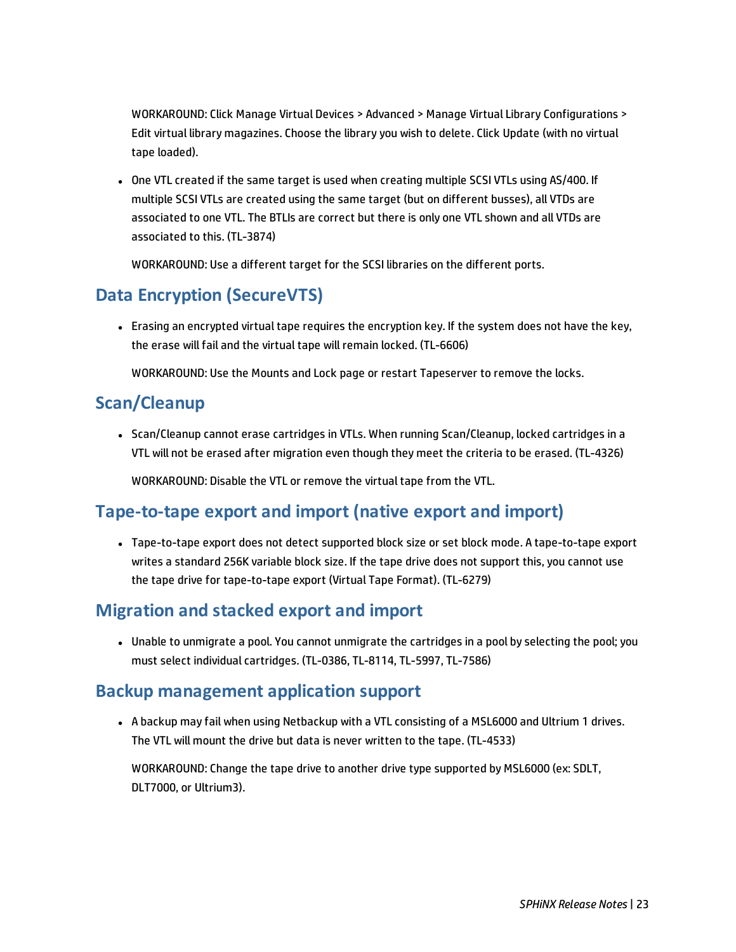WORKAROUND: Click Manage Virtual Devices > Advanced > Manage Virtual Library Configurations > Edit virtual library magazines. Choose the library you wish to delete. Click Update (with no virtual tape loaded).

• One VTL created if the same target is used when creating multiple SCSI VTLs using AS/400. If multiple SCSI VTLs are created using the same target (but on different busses), all VTDs are associated to one VTL. The BTLIs are correct but there is only one VTL shown and all VTDs are associated to this. (TL-3874)

WORKAROUND: Use a different target for the SCSI libraries on the different ports.

# **Data Encryption (SecureVTS)**

• Erasing an encrypted virtual tape requires the encryption key. If the system does not have the key, the erase will fail and the virtual tape will remain locked. (TL-6606)

WORKAROUND: Use the Mounts and Lock page or restart Tapeserver to remove the locks.

#### **Scan/Cleanup**

• Scan/Cleanup cannot erase cartridges in VTLs. When running Scan/Cleanup, locked cartridges in a VTL will not be erased after migration even though they meet the criteria to be erased. (TL-4326)

WORKAROUND: Disable the VTL or remove the virtual tape from the VTL.

### **Tape-to-tape export and import (native export and import)**

• Tape-to-tape export does not detect supported block size or set block mode. A tape-to-tape export writes a standard 256K variable block size. If the tape drive does not support this, you cannot use the tape drive for tape-to-tape export (Virtual Tape Format). (TL-6279)

### **Migration and stacked export and import**

• Unable to unmigrate a pool. You cannot unmigrate the cartridges in a pool by selecting the pool; you must select individual cartridges. (TL-0386, TL-8114, TL-5997, TL-7586)

### **Backup management application support**

• A backup may fail when using Netbackup with a VTL consisting of a MSL6000 and Ultrium 1 drives. The VTL will mount the drive but data is never written to the tape. (TL-4533)

WORKAROUND: Change the tape drive to another drive type supported by MSL6000 (ex: SDLT, DLT7000, or Ultrium3).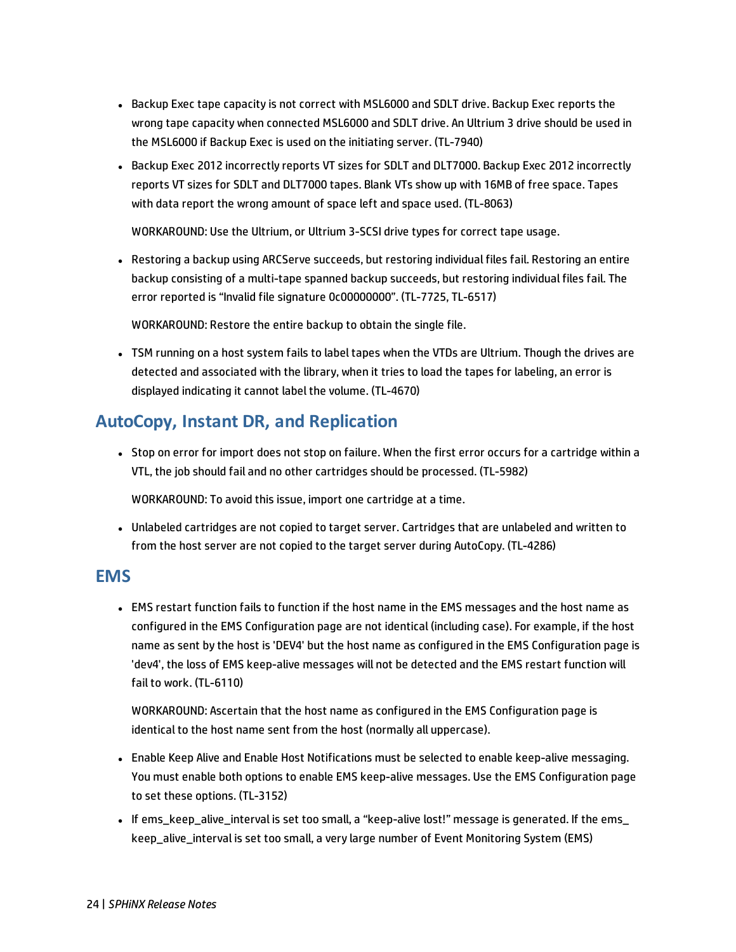- Backup Exec tape capacity is not correct with MSL6000 and SDLT drive. Backup Exec reports the wrong tape capacity when connected MSL6000 and SDLT drive. An Ultrium 3 drive should be used in the MSL6000 if Backup Exec is used on the initiating server. (TL-7940)
- Backup Exec 2012 incorrectly reports VT sizes for SDLT and DLT7000. Backup Exec 2012 incorrectly reports VT sizes for SDLT and DLT7000 tapes. Blank VTs show up with 16MB of free space. Tapes with data report the wrong amount of space left and space used. (TL-8063)

WORKAROUND: Use the Ultrium, or Ultrium 3-SCSI drive types for correct tape usage.

• Restoring a backup using ARCServe succeeds, but restoring individual files fail. Restoring an entire backup consisting of a multi-tape spanned backup succeeds, but restoring individual files fail. The error reported is "Invalid file signature 0c00000000". (TL-7725, TL-6517)

WORKAROUND: Restore the entire backup to obtain the single file.

• TSM running on a host system fails to label tapes when the VTDs are Ultrium. Though the drives are detected and associated with the library, when it tries to load the tapes for labeling, an error is displayed indicating it cannot label the volume. (TL-4670)

# **AutoCopy, Instant DR, and Replication**

• Stop on error for import does not stop on failure. When the first error occurs for a cartridge within a VTL, the job should fail and no other cartridges should be processed. (TL-5982)

WORKAROUND: To avoid this issue, import one cartridge at a time.

• Unlabeled cartridges are not copied to target server. Cartridges that are unlabeled and written to from the host server are not copied to the target server during AutoCopy. (TL-4286)

#### **EMS**

• EMS restart function fails to function if the host name in the EMS messages and the host name as configured in the EMS Configuration page are not identical (including case). For example, if the host name as sent by the host is 'DEV4' but the host name as configured in the EMS Configuration page is 'dev4', the loss of EMS keep-alive messages will not be detected and the EMS restart function will fail to work. (TL-6110)

WORKAROUND: Ascertain that the host name as configured in the EMS Configuration page is identical to the host name sent from the host (normally all uppercase).

- Enable Keep Alive and Enable Host Notifications must be selected to enable keep-alive messaging. You must enable both options to enable EMS keep-alive messages. Use the EMS Configuration page to set these options. (TL-3152)
- If ems\_keep\_alive\_interval is set too small, a "keep-alive lost!" message is generated. If the ems\_ keep\_alive\_interval is set too small, a very large number of Event Monitoring System (EMS)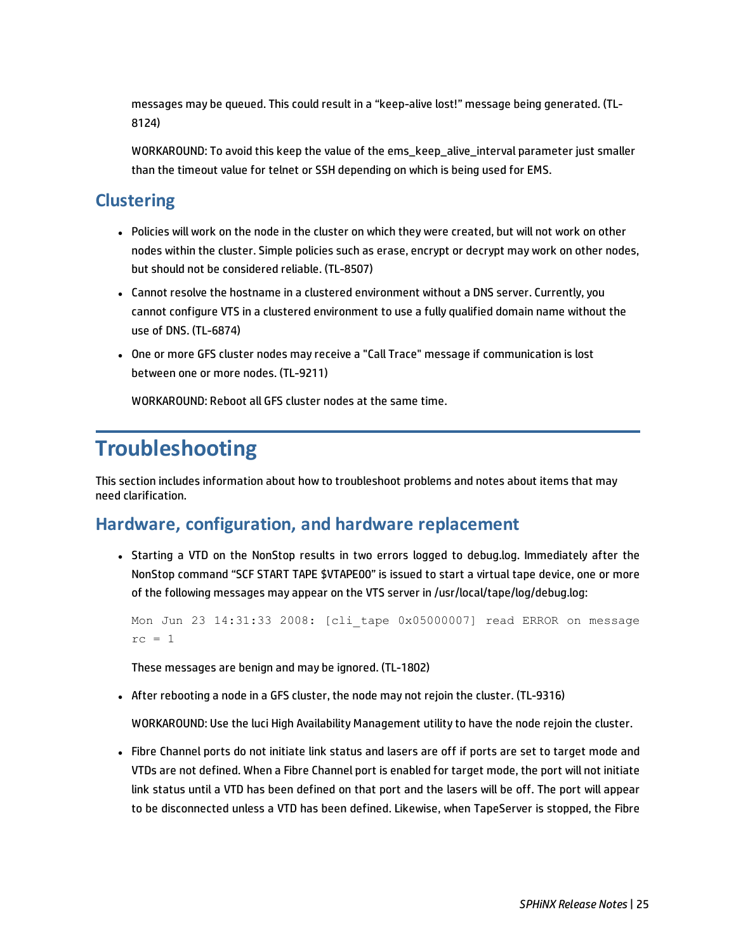messages may be queued. This could result in a "keep-alive lost!" message being generated. (TL-8124)

WORKAROUND: To avoid this keep the value of the ems\_keep\_alive\_interval parameter just smaller than the timeout value for telnet or SSH depending on which is being used for EMS.

# **Clustering**

- Policies will work on the node in the cluster on which they were created, but will not work on other nodes within the cluster. Simple policies such as erase, encrypt or decrypt may work on other nodes, but should not be considered reliable. (TL-8507)
- Cannot resolve the hostname in a clustered environment without a DNS server. Currently, you cannot configure VTS in a clustered environment to use a fully qualified domain name without the use of DNS. (TL-6874)
- One or more GFS cluster nodes may receive a "Call Trace" message if communication is lost between one or more nodes. (TL-9211)

WORKAROUND: Reboot all GFS cluster nodes at the same time.

# **Troubleshooting**

This section includes information about how to troubleshoot problems and notes about items that may need clarification.

# **Hardware, configuration, and hardware replacement**

• Starting a VTD on the NonStop results in two errors logged to debug.log. Immediately after the NonStop command "SCF START TAPE \$VTAPE00" is issued to start a virtual tape device, one or more of the following messages may appear on the VTS server in /usr/local/tape/log/debug.log:

```
Mon Jun 23 14:31:33 2008: [cli_tape 0x05000007] read ERROR on message
rc = 1
```
These messages are benign and may be ignored. (TL-1802)

• After rebooting a node in a GFS cluster, the node may not rejoin the cluster. (TL-9316)

WORKAROUND: Use the luci High Availability Management utility to have the node rejoin the cluster.

• Fibre Channel ports do not initiate link status and lasers are off if ports are set to target mode and VTDs are not defined. When a Fibre Channel port is enabled for target mode, the port will not initiate link status until a VTD has been defined on that port and the lasers will be off. The port will appear to be disconnected unless a VTD has been defined. Likewise, when TapeServer is stopped, the Fibre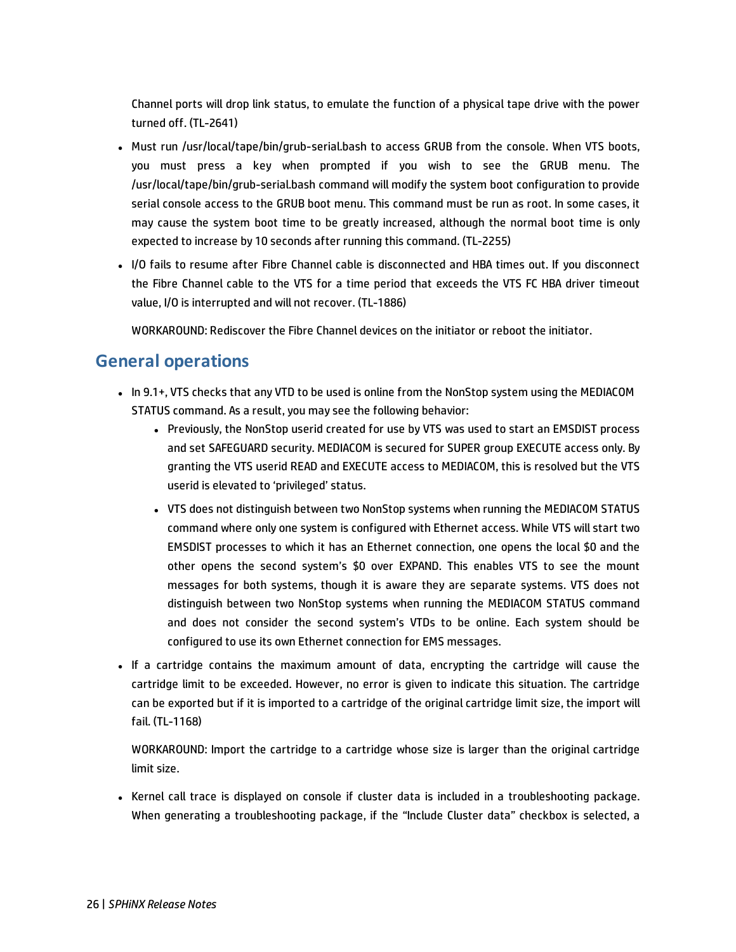Channel ports will drop link status, to emulate the function of a physical tape drive with the power turned off. (TL-2641)

- Must run /usr/local/tape/bin/grub-serial.bash to access GRUB from the console. When VTS boots, you must press a key when prompted if you wish to see the GRUB menu. The /usr/local/tape/bin/grub-serial.bash command will modify the system boot configuration to provide serial console access to the GRUB boot menu. This command must be run as root. In some cases, it may cause the system boot time to be greatly increased, although the normal boot time is only expected to increase by 10 seconds after running this command. (TL-2255)
- I/O fails to resume after Fibre Channel cable is disconnected and HBA times out. If you disconnect the Fibre Channel cable to the VTS for a time period that exceeds the VTS FC HBA driver timeout value, I/O is interrupted and will not recover. (TL-1886)

WORKAROUND: Rediscover the Fibre Channel devices on the initiator or reboot the initiator.

# **General operations**

- In 9.1+, VTS checks that any VTD to be used is online from the NonStop system using the MEDIACOM STATUS command. As a result, you may see the following behavior:
	- Previously, the NonStop userid created for use by VTS was used to start an EMSDIST process and set SAFEGUARD security. MEDIACOM is secured for SUPER group EXECUTE access only. By granting the VTS userid READ and EXECUTE access to MEDIACOM, this is resolved but the VTS userid is elevated to 'privileged' status.
	- VTS does not distinguish between two NonStop systems when running the MEDIACOM STATUS command where only one system is configured with Ethernet access. While VTS will start two EMSDIST processes to which it has an Ethernet connection, one opens the local \$0 and the other opens the second system's \$0 over EXPAND. This enables VTS to see the mount messages for both systems, though it is aware they are separate systems. VTS does not distinguish between two NonStop systems when running the MEDIACOM STATUS command and does not consider the second system's VTDs to be online. Each system should be configured to use its own Ethernet connection for EMS messages.
- If a cartridge contains the maximum amount of data, encrypting the cartridge will cause the cartridge limit to be exceeded. However, no error is given to indicate this situation. The cartridge can be exported but if it is imported to a cartridge of the original cartridge limit size, the import will fail. (TL-1168)

WORKAROUND: Import the cartridge to a cartridge whose size is larger than the original cartridge limit size.

• Kernel call trace is displayed on console if cluster data is included in a troubleshooting package. When generating a troubleshooting package, if the "Include Cluster data" checkbox is selected, a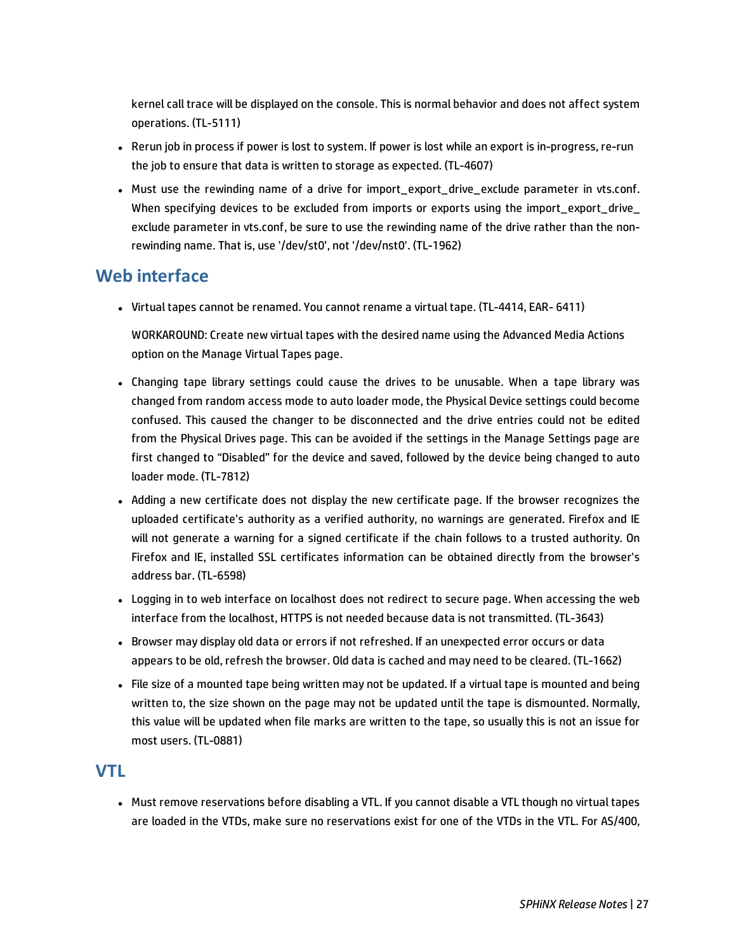kernel call trace will be displayed on the console. This is normal behavior and does not affect system operations. (TL-5111)

- Rerun job in process if power is lost to system. If power is lost while an export is in-progress, re-run the job to ensure that data is written to storage as expected. (TL-4607)
- Must use the rewinding name of a drive for import export drive exclude parameter in vts.conf. When specifying devices to be excluded from imports or exports using the import export drive exclude parameter in vts.conf, be sure to use the rewinding name of the drive rather than the nonrewinding name. That is, use '/dev/st0', not '/dev/nst0'. (TL-1962)

# **Web interface**

• Virtual tapes cannot be renamed. You cannot rename a virtual tape. (TL-4414, EAR- 6411)

WORKAROUND: Create new virtual tapes with the desired name using the Advanced Media Actions option on the Manage Virtual Tapes page.

- Changing tape library settings could cause the drives to be unusable. When a tape library was changed from random access mode to auto loader mode, the Physical Device settings could become confused. This caused the changer to be disconnected and the drive entries could not be edited from the Physical Drives page. This can be avoided if the settings in the Manage Settings page are first changed to "Disabled" for the device and saved, followed by the device being changed to auto loader mode. (TL-7812)
- Adding a new certificate does not display the new certificate page. If the browser recognizes the uploaded certificate's authority as a verified authority, no warnings are generated. Firefox and IE will not generate a warning for a signed certificate if the chain follows to a trusted authority. On Firefox and IE, installed SSL certificates information can be obtained directly from the browser's address bar. (TL-6598)
- Logging in to web interface on localhost does not redirect to secure page. When accessing the web interface from the localhost, HTTPS is not needed because data is not transmitted. (TL-3643)
- Browser may display old data or errors if not refreshed. If an unexpected error occurs or data appears to be old, refresh the browser. Old data is cached and may need to be cleared. (TL-1662)
- File size of a mounted tape being written may not be updated. If a virtual tape is mounted and being written to, the size shown on the page may not be updated until the tape is dismounted. Normally, this value will be updated when file marks are written to the tape, so usually this is not an issue for most users. (TL-0881)

# **VTL**

• Must remove reservations before disabling a VTL. If you cannot disable a VTL though no virtual tapes are loaded in the VTDs, make sure no reservations exist for one of the VTDs in the VTL. For AS/400,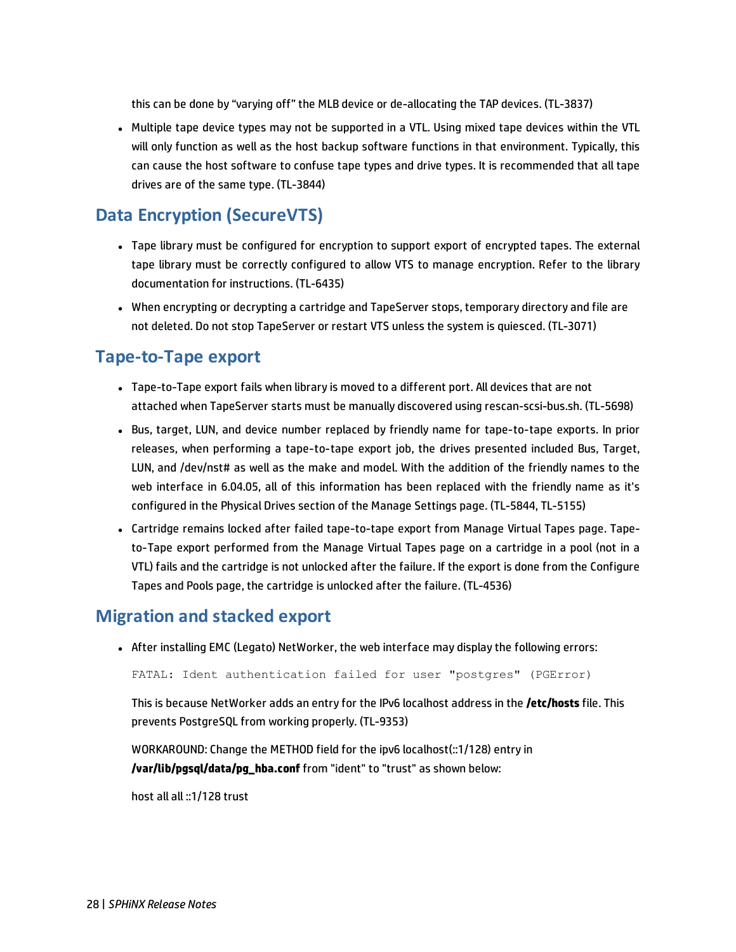this can be done by "varying off" the MLB device or de-allocating the TAP devices. (TL-3837)

• Multiple tape device types may not be supported in a VTL. Using mixed tape devices within the VTL will only function as well as the host backup software functions in that environment. Typically, this can cause the host software to confuse tape types and drive types. It is recommended that all tape drives are of the same type. (TL-3844)

# **Data Encryption (SecureVTS)**

- Tape library must be configured for encryption to support export of encrypted tapes. The external tape library must be correctly configured to allow VTS to manage encryption. Refer to the library documentation for instructions. (TL-6435)
- When encrypting or decrypting a cartridge and TapeServer stops, temporary directory and file are not deleted. Do not stop TapeServer or restart VTS unless the system is quiesced. (TL-3071)

# **Tape-to-Tape export**

- Tape-to-Tape export fails when library is moved to a different port. All devices that are not attached when TapeServer starts must be manually discovered using rescan-scsi-bus.sh. (TL-5698)
- Bus, target, LUN, and device number replaced by friendly name for tape-to-tape exports. In prior releases, when performing a tape-to-tape export job, the drives presented included Bus, Target, LUN, and /dev/nst# as well as the make and model. With the addition of the friendly names to the web interface in 6.04.05, all of this information has been replaced with the friendly name as it's configured in the Physical Drives section of the Manage Settings page. (TL-5844, TL-5155)
- Cartridge remains locked after failed tape-to-tape export from Manage Virtual Tapes page. Tapeto-Tape export performed from the Manage Virtual Tapes page on a cartridge in a pool (not in a VTL) fails and the cartridge is not unlocked after the failure. If the export is done from the Configure Tapes and Pools page, the cartridge is unlocked after the failure. (TL-4536)

### **Migration and stacked export**

• After installing EMC (Legato) NetWorker, the web interface may display the following errors:

FATAL: Ident authentication failed for user "postgres" (PGError)

This is because NetWorker adds an entry for the IPv6 localhost address in the **/etc/hosts** file. This prevents PostgreSQL from working properly. (TL-9353)

WORKAROUND: Change the METHOD field for the ipv6 localhost(::1/128) entry in **/var/lib/pgsql/data/pg\_hba.conf** from "ident" to "trust" as shown below:

host all all ::1/128 trust